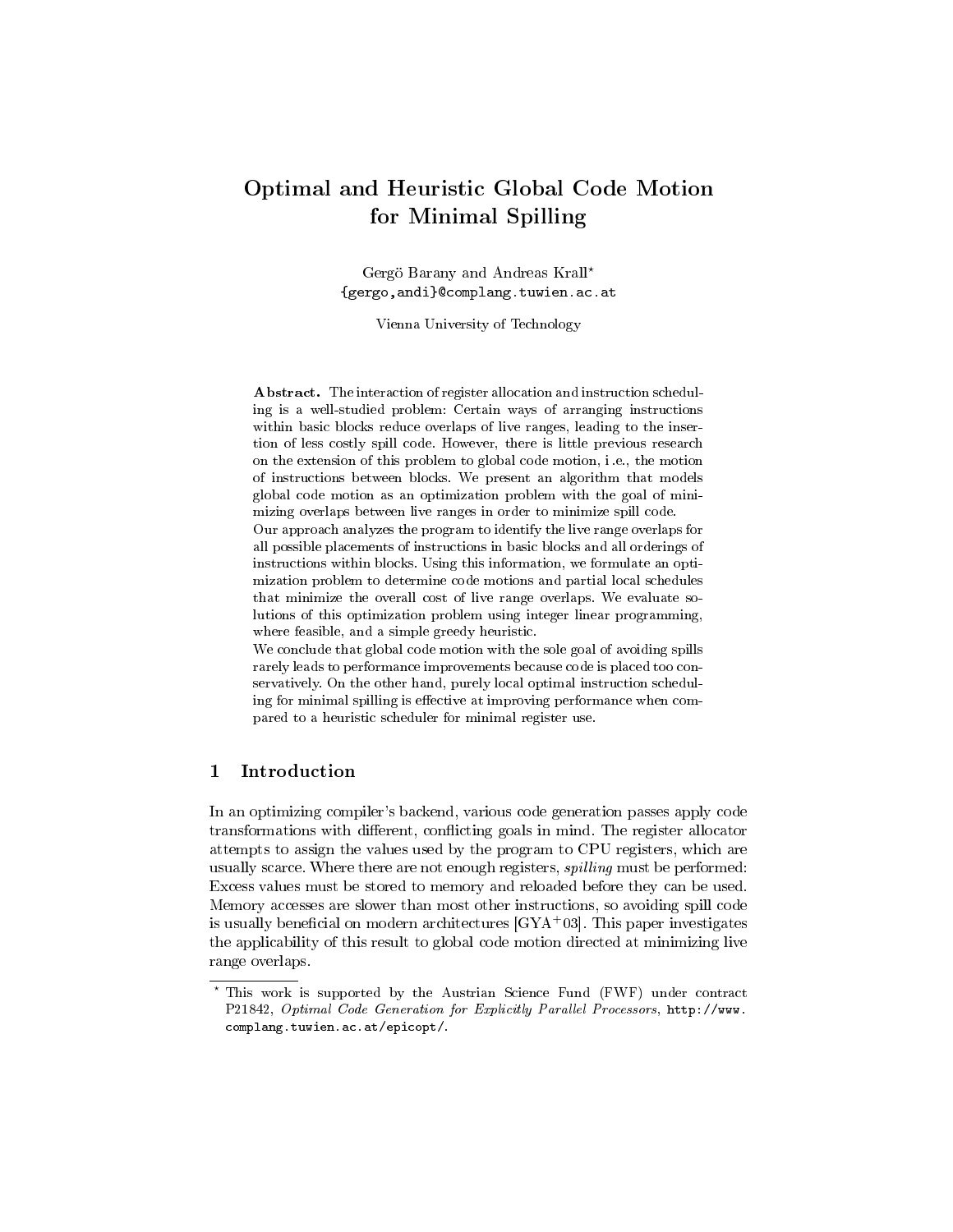# Optimal and Heuristic Global Code Motion for Minimal Spilling

Gergö Barany and Andreas Krall? {gergo,andi}@complang.tuwien.ac.at

Vienna University of Technology

Abstract. The interaction of register allocation and instruction scheduling is a well-studied problem: Certain ways of arranging instructions within basic blocks reduce overlaps of live ranges, leading to the insertion of less costly spill code. However, there is little previous research on the extension of this problem to global code motion, i .e., the motion of instructions between blocks. We present an algorithm that models global code motion as an optimization problem with the goal of minimizing overlaps between live ranges in order to minimize spill code.

Our approach analyzes the program to identify the live range overlaps for all possible placements of instructions in basic blocks and all orderings of instructions within blocks. Using this information, we formulate an optimization problem to determine code motions and partial local schedules that minimize the overall cost of live range overlaps. We evaluate solutions of this optimization problem using integer linear programming, where feasible, and a simple greedy heuristic.

We conclude that global code motion with the sole goal of avoiding spills rarely leads to performance improvements because code is placed too conservatively. On the other hand, purely local optimal instruction scheduling for minimal spilling is effective at improving performance when compared to a heuristic scheduler for minimal register use.

### 1 Introduction

In an optimizing compiler's backend, various code generation passes apply code transformations with different, conflicting goals in mind. The register allocator attempts to assign the values used by the program to CPU registers, which are usually scarce. Where there are not enough registers, *spilling* must be performed: Excess values must be stored to memory and reloaded before they can be used. Memory accesses are slower than most other instructions, so avoiding spill code is usually beneficial on modern architectures  $\text{[GYA+03]}$ . This paper investigates the applicability of this result to global code motion directed at minimizing live range overlaps.

<sup>?</sup> This work is supported by the Austrian Science Fund (FWF) under contract P21842, Optimal Code Generation for Explicitly Parallel Processors, http://www. complang.tuwien.ac.at/epicopt/.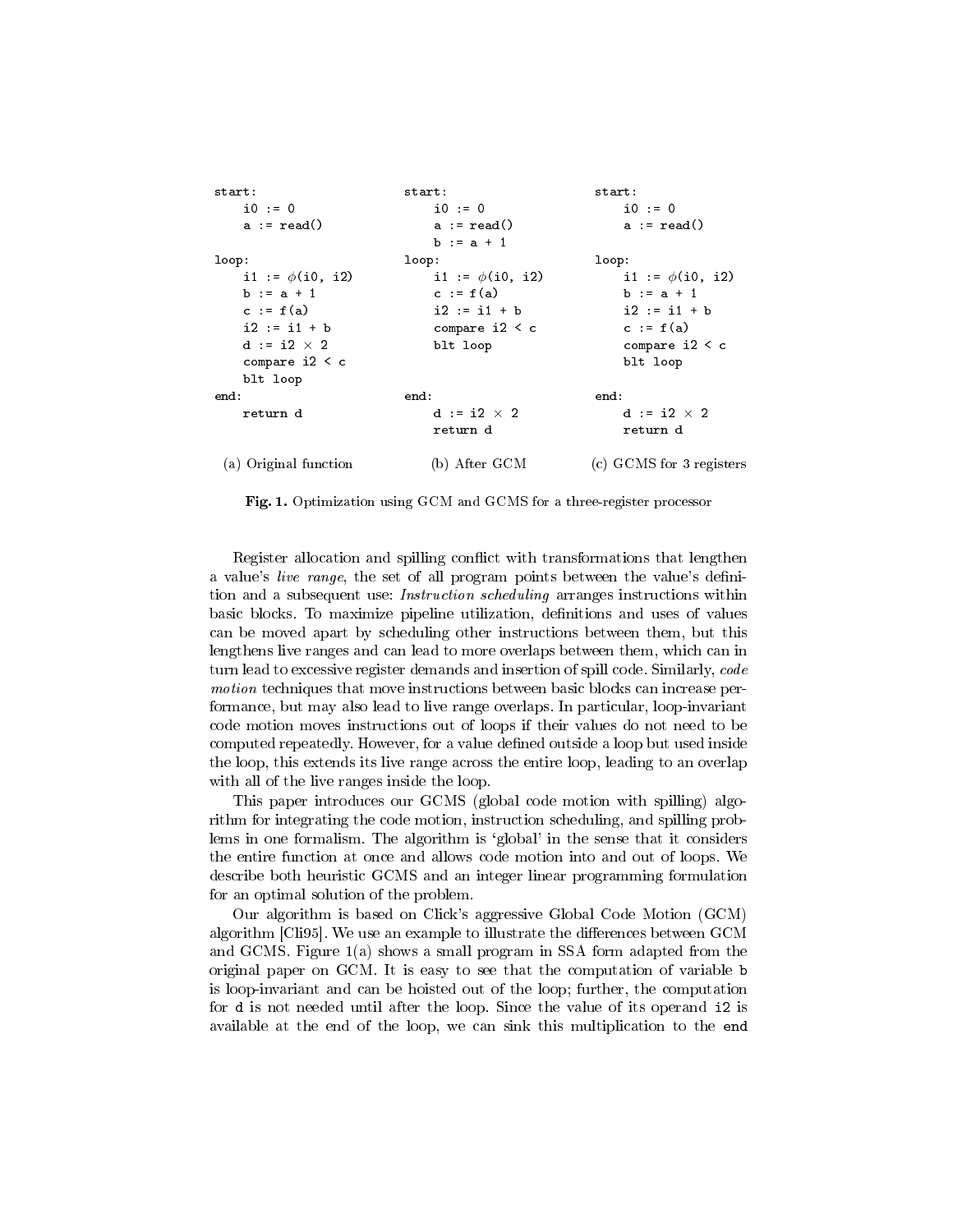| start:                          | start:                | start:                   |
|---------------------------------|-----------------------|--------------------------|
| $i0 := 0$                       | $i0 := 0$             | $i0 := 0$                |
| $a := read()$                   | $a := read()$         | $a := read()$            |
|                                 | $b := a + 1$          |                          |
| loop:                           | loop:                 | loop:                    |
| i1 := $\phi$ (i0, i2)           | i1 := $\phi$ (i0, i2) | i1 := $\phi$ (i0, i2)    |
| $b := a + 1$                    | $c := f(a)$           | $b := a + 1$             |
| $c := f(a)$                     | $i2 := i1 + b$        | $i2 := i1 + b$           |
| $i2 := i1 + b$                  | compare $i2 < c$      | $c := f(a)$              |
| $d := i2 \times 2$              | blt loop              | compare $i2 < c$         |
| compare $i2 < c$                |                       | blt loop                 |
| blt loop                        |                       |                          |
| end:                            | end:                  | end:                     |
| return d                        | $d := i2 \times 2$    | $d := i2 \times 2$       |
|                                 | return d              | return d                 |
| Original function<br>$\alpha$ ) | (b) After GCM         | (c) GCMS for 3 registers |

Fig. 1. Optimization using GCM and GCMS for a three-register processor

Register allocation and spilling conflict with transformations that lengthen a value's live range, the set of all program points between the value's definition and a subsequent use: Instruction scheduling arranges instructions within basic blocks. To maximize pipeline utilization, definitions and uses of values can be moved apart by scheduling other instructions between them, but this lengthens live ranges and can lead to more overlaps between them, which can in turn lead to excessive register demands and insertion of spill code. Similarly, code motion techniques that move instructions between basic blocks can increase performance, but may also lead to live range overlaps. In particular, loop-invariant code motion moves instructions out of loops if their values do not need to be computed repeatedly. However, for a value defined outside a loop but used inside the loop, this extends its live range across the entire loop, leading to an overlap with all of the live ranges inside the loop.

This paper introduces our GCMS (global code motion with spilling) algorithm for integrating the code motion, instruction scheduling, and spilling problems in one formalism. The algorithm is 'global' in the sense that it considers the entire function at once and allows code motion into and out of loops. We describe both heuristic GCMS and an integer linear programming formulation for an optimal solution of the problem.

Our algorithm is based on Click's aggressive Global Code Motion (GCM) algorithm [Cli95]. We use an example to illustrate the differences between GCM and GCMS. Figure 1(a) shows a small program in SSA form adapted from the original paper on GCM. It is easy to see that the computation of variable b is loop-invariant and can be hoisted out of the loop; further, the computation for d is not needed until after the loop. Since the value of its operand i2 is available at the end of the loop, we can sink this multiplication to the end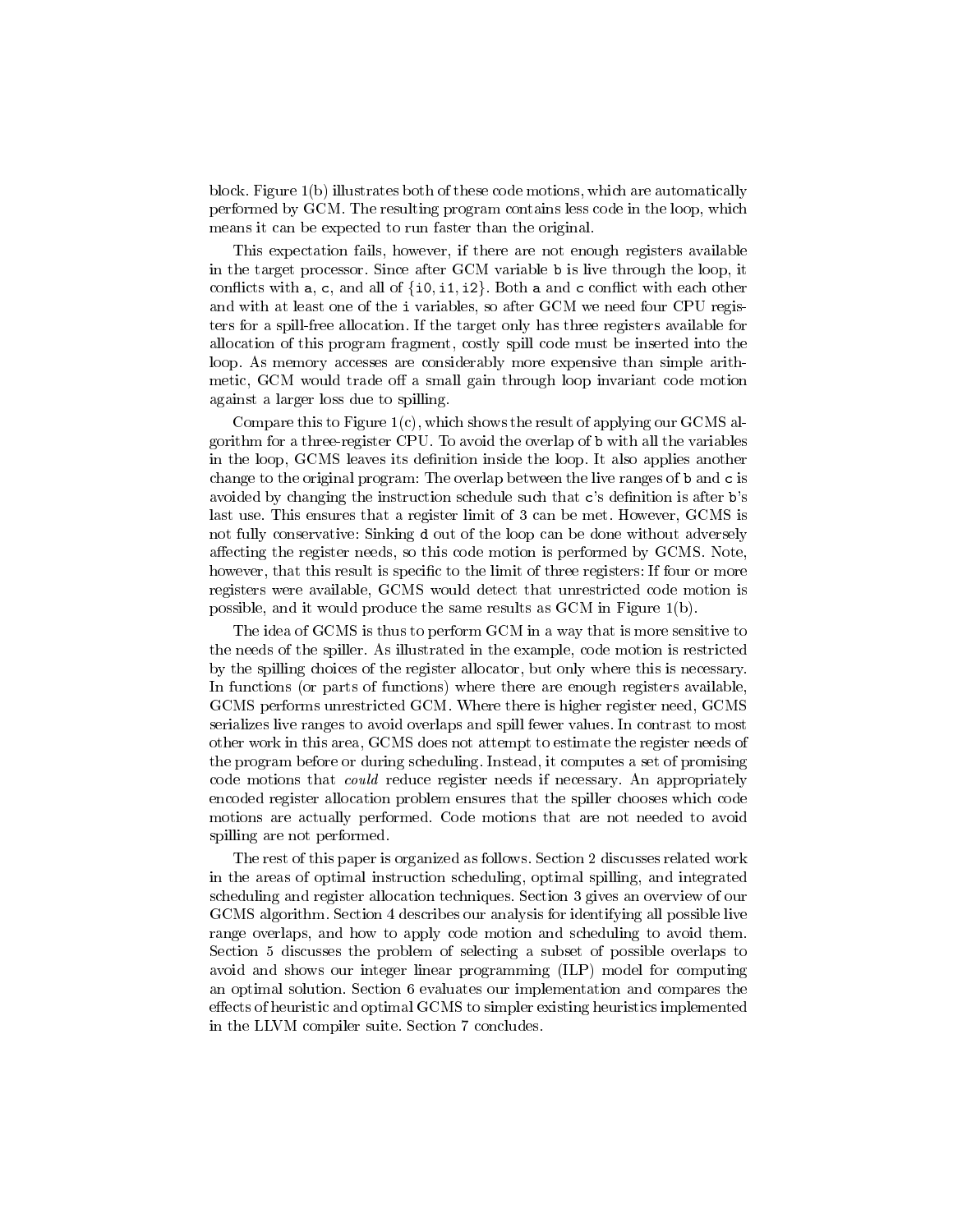block. Figure 1(b) illustrates both of these code motions, which are automatically performed by GCM. The resulting program contains less code in the loop, which means it can be expected to run faster than the original.

This expectation fails, however, if there are not enough registers available in the target processor. Since after GCM variable b is live through the loop, it conflicts with a, c, and all of  $\{i0, i1, i2\}$ . Both a and c conflict with each other and with at least one of the i variables, so after GCM we need four CPU registers for a spill-free allocation. If the target only has three registers available for allocation of this program fragment, costly spill code must be inserted into the loop. As memory accesses are considerably more expensive than simple arithmetic, GCM would trade off a small gain through loop invariant code motion against a larger loss due to spilling.

Compare this to Figure  $1(c)$ , which shows the result of applying our GCMS algorithm for a three-register CPU. To avoid the overlap of b with all the variables in the loop, GCMS leaves its denition inside the loop. It also applies another change to the original program: The overlap between the live ranges of b and c is avoided by changing the instruction schedule such that  $c$ 's definition is after  $b$ 's last use. This ensures that a register limit of 3 can be met. However, GCMS is not fully conservative: Sinking d out of the loop can be done without adversely affecting the register needs, so this code motion is performed by GCMS. Note, however, that this result is specific to the limit of three registers: If four or more registers were available, GCMS would detect that unrestricted code motion is possible, and it would produce the same results as GCM in Figure 1(b).

The idea of GCMS is thus to perform GCM in a way that is more sensitive to the needs of the spiller. As illustrated in the example, code motion is restricted by the spilling choices of the register allocator, but only where this is necessary. In functions (or parts of functions) where there are enough registers available, GCMS performs unrestricted GCM. Where there is higher register need, GCMS serializes live ranges to avoid overlaps and spill fewer values. In contrast to most other work in this area, GCMS does not attempt to estimate the register needs of the program before or during scheduling. Instead, it computes a set of promising code motions that could reduce register needs if necessary. An appropriately encoded register allocation problem ensures that the spiller chooses which code motions are actually performed. Code motions that are not needed to avoid spilling are not performed.

The rest of this paper is organized as follows. Section 2 discusses related work in the areas of optimal instruction scheduling, optimal spilling, and integrated scheduling and register allocation techniques. Section 3 gives an overview of our GCMS algorithm. Section 4 describes our analysis for identifying all possible live range overlaps, and how to apply code motion and scheduling to avoid them. Section 5 discusses the problem of selecting a subset of possible overlaps to avoid and shows our integer linear programming (ILP) model for computing an optimal solution. Section 6 evaluates our implementation and compares the effects of heuristic and optimal GCMS to simpler existing heuristics implemented in the LLVM compiler suite. Section 7 concludes.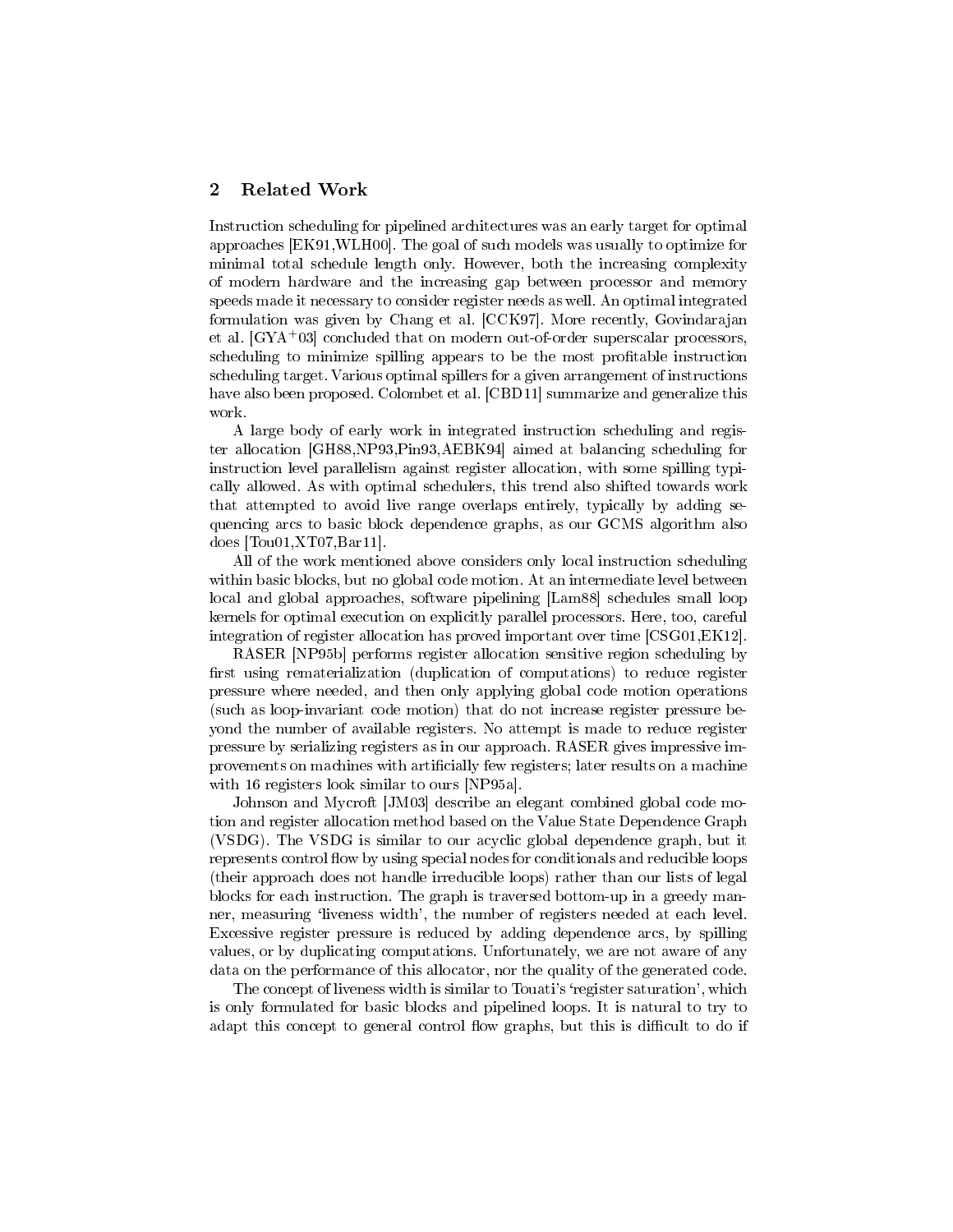# 2 Related Work

Instruction scheduling for pipelined architectures was an early target for optimal approaches [EK91,WLH00]. The goal of such models was usually to optimize for minimal total schedule length only. However, both the increasing complexity of modern hardware and the increasing gap between processor and memory speeds made it necessary to consider register needs as well. An optimal integrated formulation was given by Chang et al. [CCK97]. More recently, Govindarajan et al.  $[GYA+03]$  concluded that on modern out-of-order superscalar processors. scheduling to minimize spilling appears to be the most profitable instruction scheduling target. Various optimal spillers for a given arrangement of instructions have also been proposed. Colombet et al. [CBD11] summarize and generalize this work.

A large body of early work in integrated instruction scheduling and register allocation [GH88,NP93,Pin93,AEBK94] aimed at balancing scheduling for instruction level parallelism against register allocation, with some spilling typically allowed. As with optimal schedulers, this trend also shifted towards work that attempted to avoid live range overlaps entirely, typically by adding sequencing arcs to basic block dependence graphs, as our GCMS algorithm also does [Tou01,XT07,Bar11].

All of the work mentioned above considers only local instruction scheduling within basic blocks, but no global code motion. At an intermediate level between local and global approaches, software pipelining [Lam88] schedules small loop kernels for optimal execution on explicitly parallel processors. Here, too, careful integration of register allocation has proved important over time [CSG01,EK12].

RASER [NP95b] performs register allocation sensitive region scheduling by first using rematerialization (duplication of computations) to reduce register pressure where needed, and then only applying global code motion operations (such as loop-invariant code motion) that do not increase register pressure beyond the number of available registers. No attempt is made to reduce register pressure by serializing registers as in our approach. RASER gives impressive improvements on machines with articially few registers; later results on a machine with 16 registers look similar to ours [NP95a].

Johnson and Mycroft [JM03] describe an elegant combined global code motion and register allocation method based on the Value State Dependence Graph (VSDG). The VSDG is similar to our acyclic global dependence graph, but it represents control flow by using special nodes for conditionals and reducible loops (their approach does not handle irreducible loops) rather than our lists of legal blocks for each instruction. The graph is traversed bottom-up in a greedy manner, measuring 'liveness width', the number of registers needed at each level. Excessive register pressure is reduced by adding dependence arcs, by spilling values, or by duplicating computations. Unfortunately, we are not aware of any data on the performance of this allocator, nor the quality of the generated code.

The concept of liveness width is similar to Touati's 'register saturation', which is only formulated for basic blocks and pipelined loops. It is natural to try to adapt this concept to general control flow graphs, but this is difficult to do if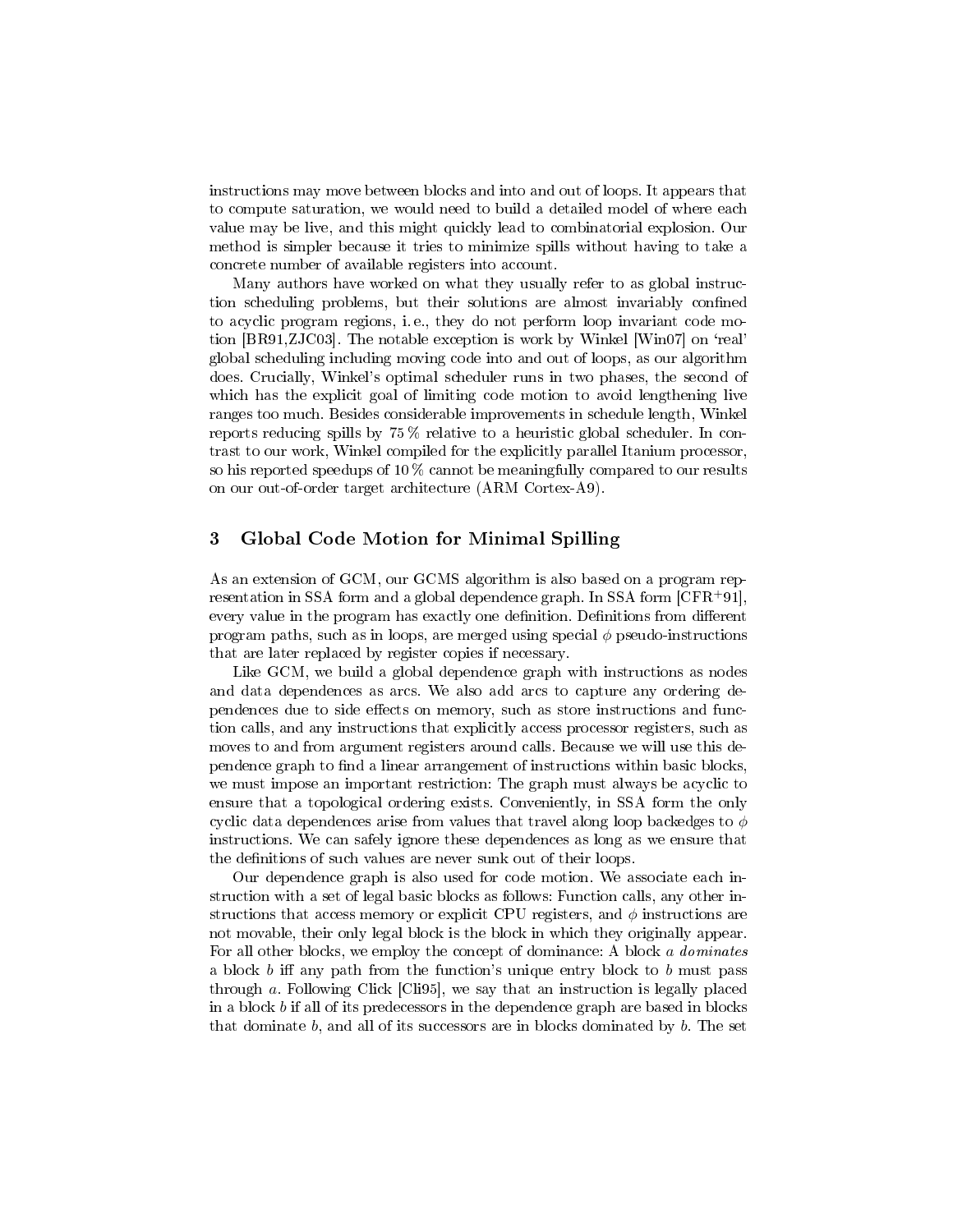instructions may move between blocks and into and out of loops. It appears that to compute saturation, we would need to build a detailed model of where each value may be live, and this might quickly lead to combinatorial explosion. Our method is simpler because it tries to minimize spills without having to take a concrete number of available registers into account.

Many authors have worked on what they usually refer to as global instruction scheduling problems, but their solutions are almost invariably confined to acyclic program regions, i. e., they do not perform loop invariant code motion [BR91,ZJC03]. The notable exception is work by Winkel [Win07] on `real' global scheduling including moving code into and out of loops, as our algorithm does. Crucially, Winkel's optimal scheduler runs in two phases, the second of which has the explicit goal of limiting code motion to avoid lengthening live ranges too much. Besides considerable improvements in schedule length, Winkel reports reducing spills by 75 % relative to a heuristic global scheduler. In contrast to our work, Winkel compiled for the explicitly parallel Itanium processor, so his reported speedups of 10 % cannot be meaningfully compared to our results on our out-of-order target architecture (ARM Cortex-A9).

# 3 Global Code Motion for Minimal Spilling

As an extension of GCM, our GCMS algorithm is also based on a program representation in SSA form and a global dependence graph. In SSA form [CFR<sup>+</sup>91], every value in the program has exactly one definition. Definitions from different program paths, such as in loops, are merged using special  $\phi$  pseudo-instructions that are later replaced by register copies if necessary.

Like GCM, we build a global dependence graph with instructions as nodes and data dependences as arcs. We also add arcs to capture any ordering dependences due to side effects on memory, such as store instructions and function calls, and any instructions that explicitly access processor registers, such as moves to and from argument registers around calls. Because we will use this dependence graph to find a linear arrangement of instructions within basic blocks, we must impose an important restriction: The graph must always be acyclic to ensure that a topological ordering exists. Conveniently, in SSA form the only cyclic data dependences arise from values that travel along loop backedges to  $\phi$ instructions. We can safely ignore these dependences as long as we ensure that the definitions of such values are never sunk out of their loops.

Our dependence graph is also used for code motion. We associate each instruction with a set of legal basic blocks as follows: Function calls, any other instructions that access memory or explicit CPU registers, and  $\phi$  instructions are not movable, their only legal block is the block in which they originally appear. For all other blocks, we employ the concept of dominance: A block a *dominates* a block b iff any path from the function's unique entry block to b must pass through a. Following Click [Cli95], we say that an instruction is legally placed in a block  $b$  if all of its predecessors in the dependence graph are based in blocks that dominate  $b$ , and all of its successors are in blocks dominated by  $b$ . The set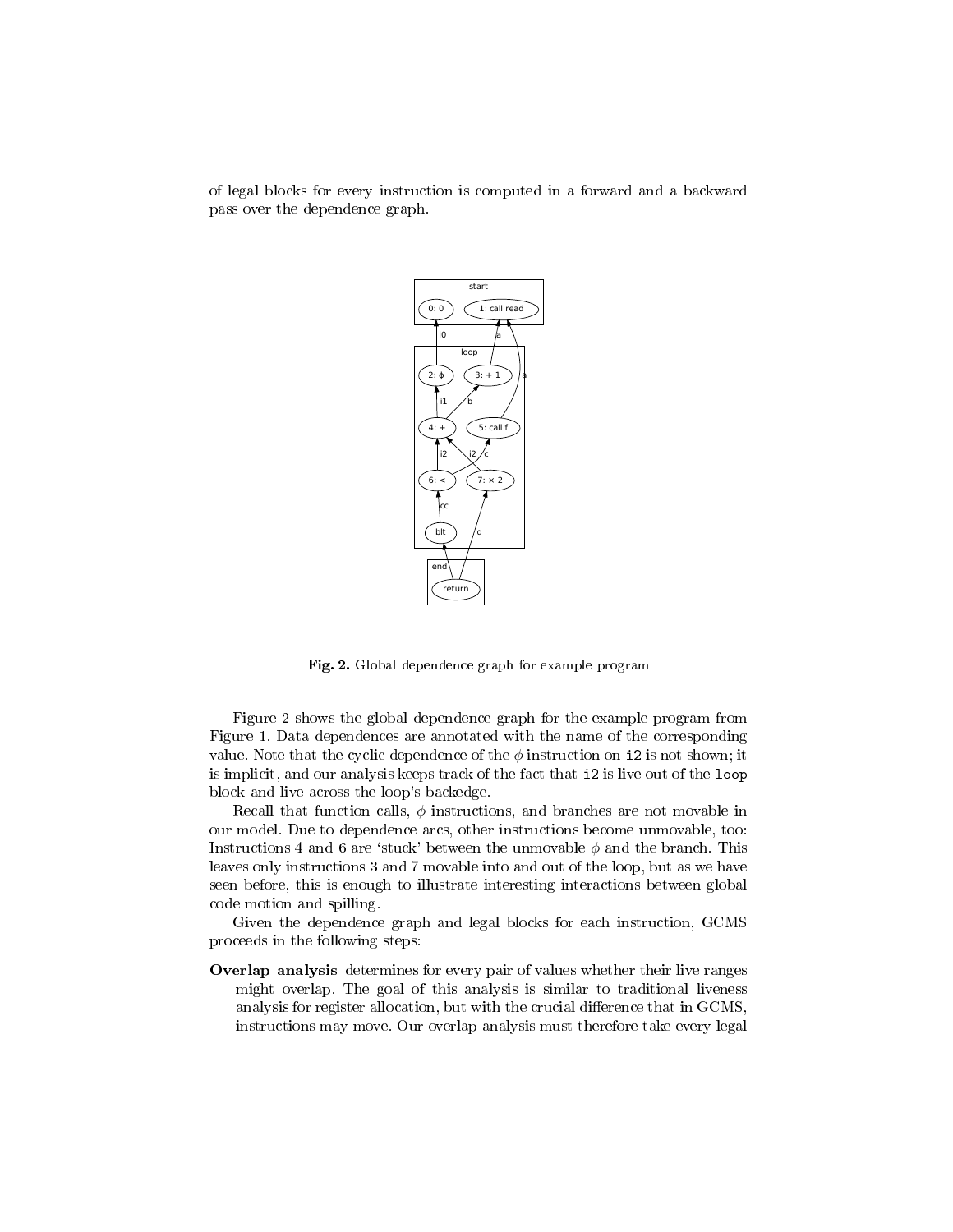of legal blocks for every instruction is computed in a forward and a backward pass over the dependence graph.



Fig. 2. Global dependence graph for example program

Figure 2 shows the global dependence graph for the example program from Figure 1. Data dependences are annotated with the name of the corresponding value. Note that the cyclic dependence of the  $\phi$  instruction on i2 is not shown; it is implicit, and our analysis keeps track of the fact that i2 is live out of the loop block and live across the loop's backedge.

Recall that function calls,  $\phi$  instructions, and branches are not movable in our model. Due to dependence arcs, other instructions become unmovable, too: Instructions 4 and 6 are 'stuck' between the unmovable  $\phi$  and the branch. This leaves only instructions 3 and 7 movable into and out of the loop, but as we have seen before, this is enough to illustrate interesting interactions between global code motion and spilling.

Given the dependence graph and legal blocks for each instruction, GCMS proceeds in the following steps:

Overlap analysis determines for every pair of values whether their live ranges might overlap. The goal of this analysis is similar to traditional liveness analysis for register allocation, but with the crucial difference that in GCMS, instructions may move. Our overlap analysis must therefore take every legal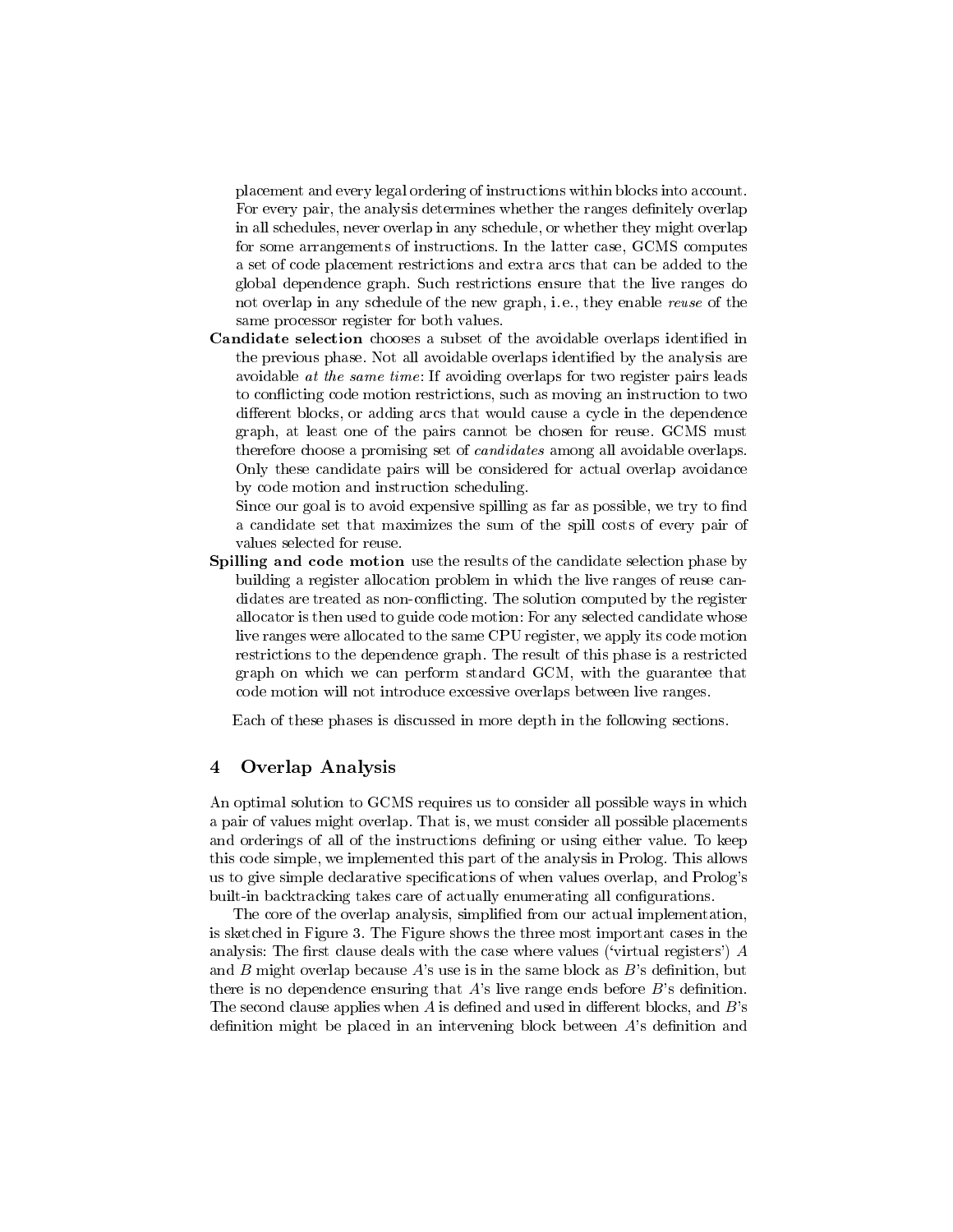placement and every legal ordering of instructions within blocks into account. For every pair, the analysis determines whether the ranges definitely overlap in all schedules, never overlap in any schedule, or whether they might overlap for some arrangements of instructions. In the latter case, GCMS computes a set of code placement restrictions and extra arcs that can be added to the global dependence graph. Such restrictions ensure that the live ranges do not overlap in any schedule of the new graph, i. e., they enable reuse of the same processor register for both values.

Candidate selection chooses a subset of the avoidable overlaps identified in the previous phase. Not all avoidable overlaps identified by the analysis are avoidable at the same time: If avoiding overlaps for two register pairs leads to conflicting code motion restrictions, such as moving an instruction to two different blocks, or adding arcs that would cause a cycle in the dependence graph, at least one of the pairs cannot be chosen for reuse. GCMS must therefore choose a promising set of candidates among all avoidable overlaps. Only these candidate pairs will be considered for actual overlap avoidance by code motion and instruction scheduling.

Since our goal is to avoid expensive spilling as far as possible, we try to find a candidate set that maximizes the sum of the spill costs of every pair of values selected for reuse.

Spilling and code motion use the results of the candidate selection phase by building a register allocation problem in which the live ranges of reuse candidates are treated as non-conflicting. The solution computed by the register allocator is then used to guide code motion: For any selected candidate whose live ranges were allocated to the same CPU register, we apply its code motion restrictions to the dependence graph. The result of this phase is a restricted graph on which we can perform standard GCM, with the guarantee that code motion will not introduce excessive overlaps between live ranges.

Each of these phases is discussed in more depth in the following sections.

### 4 Overlap Analysis

An optimal solution to GCMS requires us to consider all possible ways in which a pair of values might overlap. That is, we must consider all possible placements and orderings of all of the instructions defining or using either value. To keep this code simple, we implemented this part of the analysis in Prolog. This allows us to give simple declarative specifications of when values overlap, and Prolog's built-in backtracking takes care of actually enumerating all configurations.

The core of the overlap analysis, simplified from our actual implementation, is sketched in Figure 3. The Figure shows the three most important cases in the analysis: The first clause deals with the case where values ('virtual registers')  $A$ and B might overlap because  $A$ 's use is in the same block as  $B$ 's definition, but there is no dependence ensuring that  $A$ 's live range ends before  $B$ 's definition. The second clause applies when  $A$  is defined and used in different blocks, and  $B$ 's definition might be placed in an intervening block between  $A$ 's definition and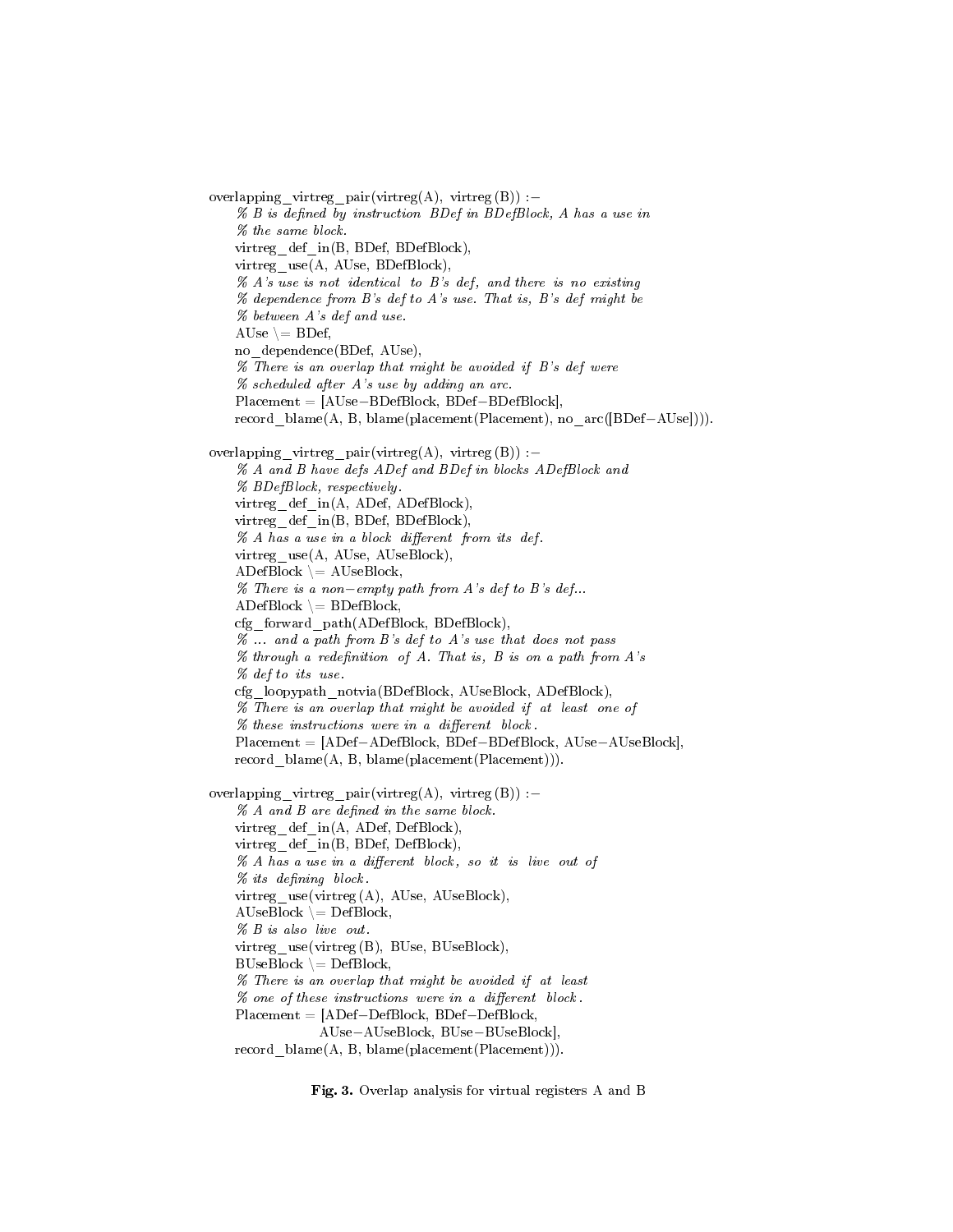```
overlapping_virtreg_pair(virtreg(A), virtreg (B)) :−
    % B is defined by instruction BDef in BDefBlock, A has a use in
    % the same block.
   virtreg_def_in(B, BDef, BDefBlock),
   virtreg_use(A, AUse, BDefBlock),
    \% A's use is not identical to B's def, and there is no existing
    % dependence from B's def to A's use. That is, B's def might be
    % between A's def and use.
   AUse \setminus = BDef,
   no_dependence(BDef, AUse),
    % There is an overlap that might be avoided if B's def were
    % scheduled after A's use by adding an arc.
   Placement = [AUse−BDefBlock, BDef−BDefBlock],
   record_blame(A, B, blame(placement(Placement), no_arc([BDef−AUse]))).
overlapping_virtreg_pair(virtreg(A), virtreg (B)) :−
    % A and B have defs ADef and BDef in blocks ADefBlock and
    % BDefBlock, respectively.
   virtreg def in(A, \text{ ADef}, \text{ ADefBlock}),virtreg_def_in(B, BDef, BDefBlock),
    % A has a use in a block different from its def.
   virtreg_use(A, AUse, AUseBlock),
   ADEBlock \geq AUseBlock,% There is a non−empty path from A's def to B's def...
   ADEBlock \geq BDefBlock,cfg_forward_path(ADefBlock, BDefBlock),
    \% ... and a path from B's def to A's use that does not pass
    % through a redefinition of A. That is, B is on a path from A's
    % def to its use.
   cfg_loopypath_notvia(BDefBlock, AUseBlock, ADefBlock),
    % There is an overlap that might be avoided if at least one of
    % these instructions were in a different block.
   Placement = [ADef−ADefBlock, BDef−BDefBlock, AUse−AUseBlock],
   record \quad blame(A, B, blame(placement(Placement))).overlapping_virtreg_pair(virtreg(A), virtreg (B)) :−
    % A and B are defined in the same block.
   virtreg_def_in(A, ADef, DefBlock),
   virtreg_def_in(B, BDef, DefBlock),
    % A has a use in a different block, so it is live out of
    % its defining block.
   virtreg_use(virtreg (A), AUse, AUseBlock),
   AUseBlock \ = DefBlock,% B is also live out.
   virtreg_use(virtreg(B), BUse, BUseBlock),
   BUseBlock \ = DefBlock,% There is an overlap that might be avoided if at least
    % one of these instructions were in a different block.
   Placement = [ADef−DefBlock, BDef−DefBlock,
                AUse−AUseBlock, BUse−BUseBlock],
   record blame(A, B, blame(placement(Placement))).
```
Fig. 3. Overlap analysis for virtual registers A and B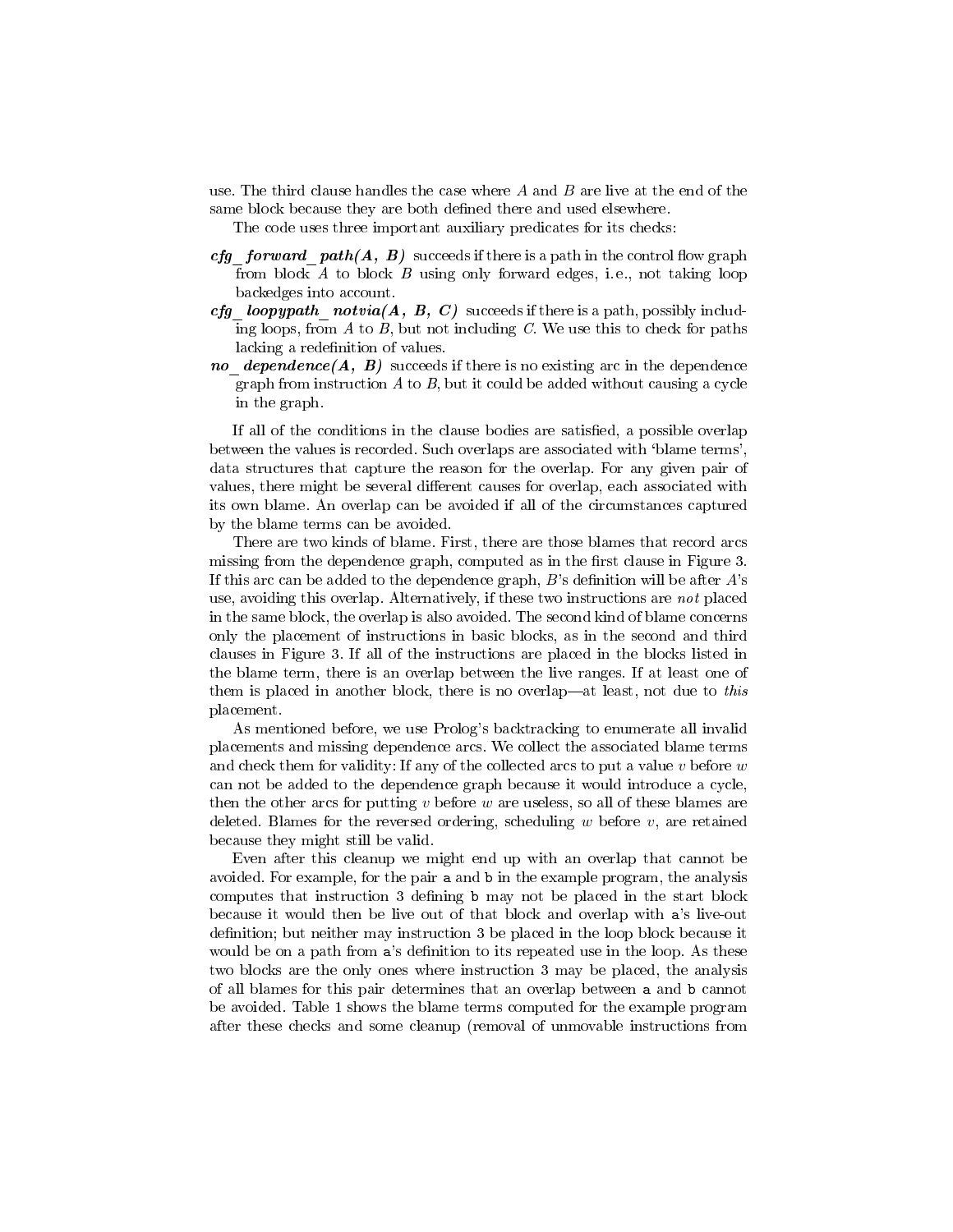use. The third clause handles the case where  $A$  and  $B$  are live at the end of the same block because they are both defined there and used elsewhere.

The code uses three important auxiliary predicates for its checks:

- cfg forward  $path(A, B)$  succeeds if there is a path in the control flow graph from block  $A$  to block  $B$  using only forward edges, i.e., not taking loop backedges into account.
- cfg loopypath  $notvia(A, B, C)$  succeeds if there is a path, possibly including loops, from  $A$  to  $B$ , but not including  $C$ . We use this to check for paths lacking a redefinition of values.
- no dependence( $A, B$ ) succeeds if there is no existing arc in the dependence graph from instruction  $A$  to  $B$ , but it could be added without causing a cycle in the graph.

If all of the conditions in the clause bodies are satisfied, a possible overlap between the values is recorded. Such overlaps are associated with `blame terms', data structures that capture the reason for the overlap. For any given pair of values, there might be several different causes for overlap, each associated with its own blame. An overlap can be avoided if all of the circumstances captured by the blame terms can be avoided.

There are two kinds of blame. First, there are those blames that record arcs missing from the dependence graph, computed as in the first clause in Figure 3. If this arc can be added to the dependence graph,  $B$ 's definition will be after  $A$ 's use, avoiding this overlap. Alternatively, if these two instructions are not placed in the same block, the overlap is also avoided. The second kind of blame concerns only the placement of instructions in basic blocks, as in the second and third clauses in Figure 3. If all of the instructions are placed in the blocks listed in the blame term, there is an overlap between the live ranges. If at least one of them is placed in another block, there is no overlap—at least, not due to this placement.

As mentioned before, we use Prolog's backtracking to enumerate all invalid placements and missing dependence arcs. We collect the associated blame terms and check them for validity: If any of the collected arcs to put a value  $v$  before  $w$ can not be added to the dependence graph because it would introduce a cycle, then the other arcs for putting  $v$  before  $w$  are useless, so all of these blames are deleted. Blames for the reversed ordering, scheduling  $w$  before  $v$ , are retained because they might still be valid.

Even after this cleanup we might end up with an overlap that cannot be avoided. For example, for the pair a and b in the example program, the analysis computes that instruction 3 defining b may not be placed in the start block because it would then be live out of that block and overlap with a's live-out definition; but neither may instruction 3 be placed in the loop block because it would be on a path from a's definition to its repeated use in the loop. As these two blocks are the only ones where instruction 3 may be placed, the analysis of all blames for this pair determines that an overlap between a and b cannot be avoided. Table 1 shows the blame terms computed for the example program after these checks and some cleanup (removal of unmovable instructions from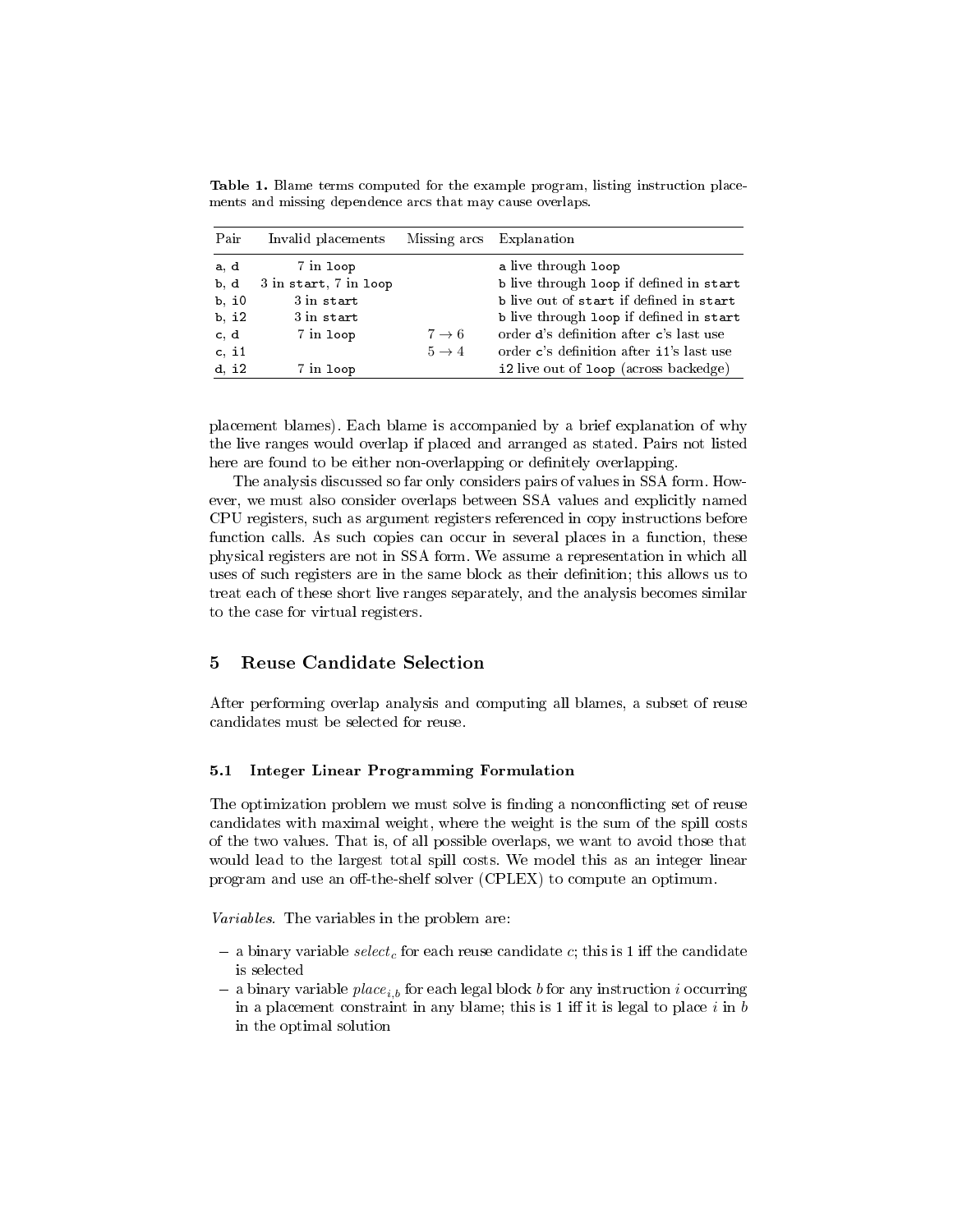Table 1. Blame terms computed for the example program, listing instruction placements and missing dependence arcs that may cause overlaps.

| Pair     | Invalid placements    |                   | Missing arcs Explanation                  |
|----------|-----------------------|-------------------|-------------------------------------------|
| a, d     | 7 in loop             |                   | a live through loop                       |
| b, d     | 3 in start, 7 in loop |                   | b live through loop if defined in start   |
| b. i0    | $3$ in start          |                   | b live out of start if defined in start   |
| b, i2    | $3$ in start          |                   | b live through loop if defined in start   |
| c, d     | 7 in loop             | $7 \rightarrow 6$ | order d's definition after c's last use   |
| $c$ , il |                       | $5 \rightarrow 4$ | order c's definition after int s last use |
| d. i2    | 7 in loop             |                   | i2 live out of loop (across backedge)     |

placement blames). Each blame is accompanied by a brief explanation of why the live ranges would overlap if placed and arranged as stated. Pairs not listed here are found to be either non-overlapping or definitely overlapping.

The analysis discussed so far only considers pairs of values in SSA form. However, we must also consider overlaps between SSA values and explicitly named CPU registers, such as argument registers referenced in copy instructions before function calls. As such copies can occur in several places in a function, these physical registers are not in SSA form. We assume a representation in which all uses of such registers are in the same block as their definition; this allows us to treat each of these short live ranges separately, and the analysis becomes similar to the case for virtual registers.

# 5 Reuse Candidate Selection

After performing overlap analysis and computing all blames, a subset of reuse candidates must be selected for reuse.

### 5.1 Integer Linear Programming Formulation

The optimization problem we must solve is finding a nonconflicting set of reuse candidates with maximal weight, where the weight is the sum of the spill costs of the two values. That is, of all possible overlaps, we want to avoid those that would lead to the largest total spill costs. We model this as an integer linear program and use an off-the-shelf solver (CPLEX) to compute an optimum.

Variables. The variables in the problem are:

- a binary variable select<sub>c</sub> for each reuse candidate c; this is 1 iff the candidate is selected
- a binary variable  $place_{i,b}$  for each legal block b for any instruction i occurring in a placement constraint in any blame; this is  $1$  iff it is legal to place  $i$  in  $b$ in the optimal solution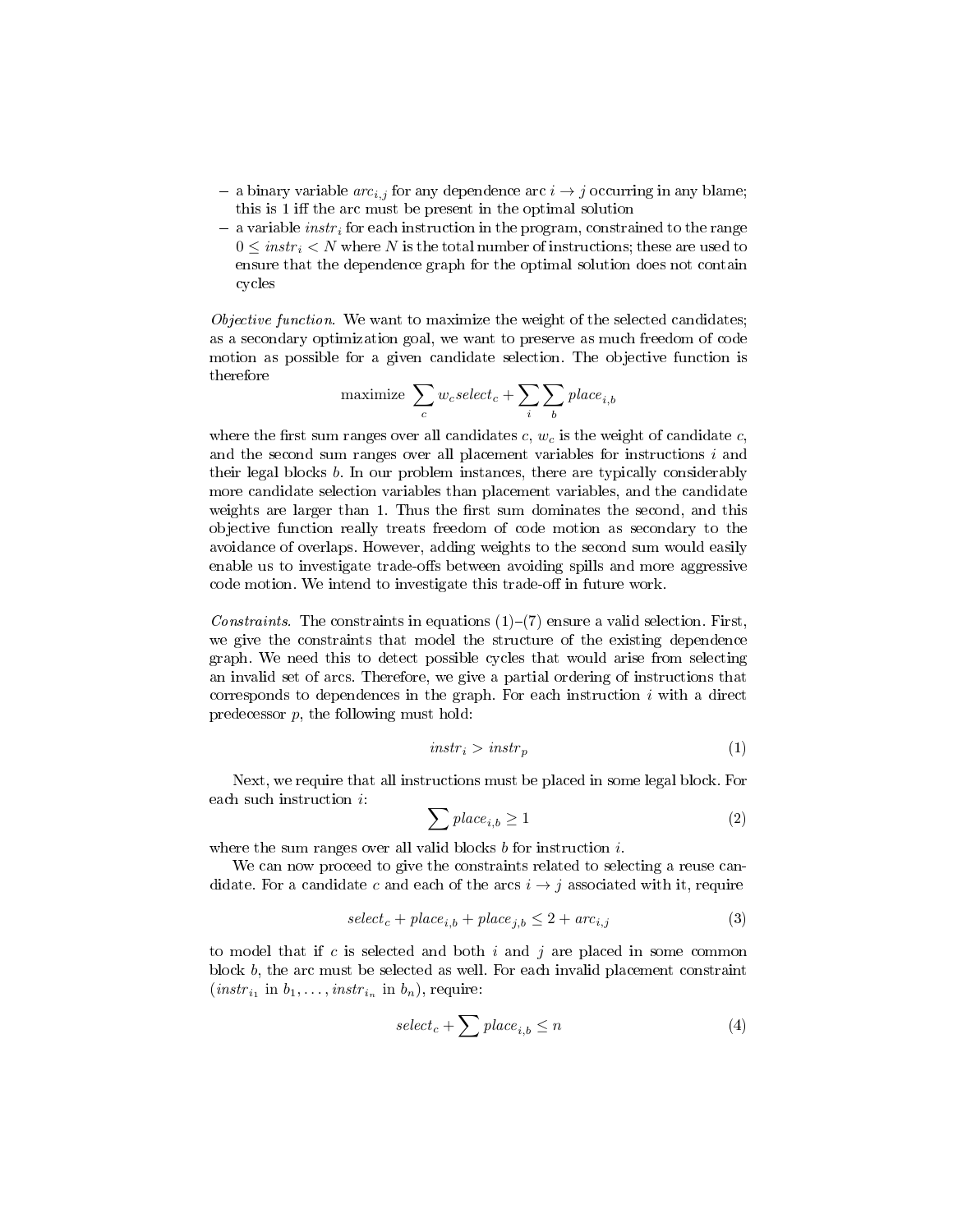- a binary variable  $arc_{i,j}$  for any dependence arc  $i \rightarrow j$  occurring in any blame; this is 1 iff the arc must be present in the optimal solution
- a variable *instr<sub>i</sub>* for each instruction in the program, constrained to the range  $0 \leq instr_i < N$  where N is the total number of instructions; these are used to ensure that the dependence graph for the optimal solution does not contain cycles

Objective function. We want to maximize the weight of the selected candidates; as a secondary optimization goal, we want to preserve as much freedom of code motion as possible for a given candidate selection. The objective function is therefore

$$
\text{maximize } \sum_c w_c select_c + \sum_i \sum_b place_{i,b}
$$

where the first sum ranges over all candidates  $c, w_c$  is the weight of candidate  $c$ , and the second sum ranges over all placement variables for instructions i and their legal blocks b. In our problem instances, there are typically considerably more candidate selection variables than placement variables, and the candidate weights are larger than 1. Thus the first sum dominates the second, and this objective function really treats freedom of code motion as secondary to the avoidance of overlaps. However, adding weights to the second sum would easily enable us to investigate trade-offs between avoiding spills and more aggressive code motion. We intend to investigate this trade-off in future work.

Constraints. The constraints in equations  $(1)-(7)$  ensure a valid selection. First, we give the constraints that model the structure of the existing dependence graph. We need this to detect possible cycles that would arise from selecting an invalid set of arcs. Therefore, we give a partial ordering of instructions that corresponds to dependences in the graph. For each instruction  $i$  with a direct predecessor p, the following must hold:

$$
instr_i > instr_p \tag{1}
$$

Next, we require that all instructions must be placed in some legal block. For each such instruction  $i$ .

$$
\sum place_{i,b} \ge 1\tag{2}
$$

where the sum ranges over all valid blocks b for instruction i.

We can now proceed to give the constraints related to selecting a reuse candidate. For a candidate c and each of the arcs  $i \rightarrow j$  associated with it, require

$$
select_c + place_{i,b} + place_{j,b} \le 2 + arc_{i,j}
$$
\n
$$
(3)
$$

to model that if c is selected and both i and j are placed in some common block b, the arc must be selected as well. For each invalid placement constraint  $(instr_{i_1} \text{ in } b_1, \ldots, instr_{i_n} \text{ in } b_n),$  require:

$$
select_c + \sum place_{i,b} \le n \tag{4}
$$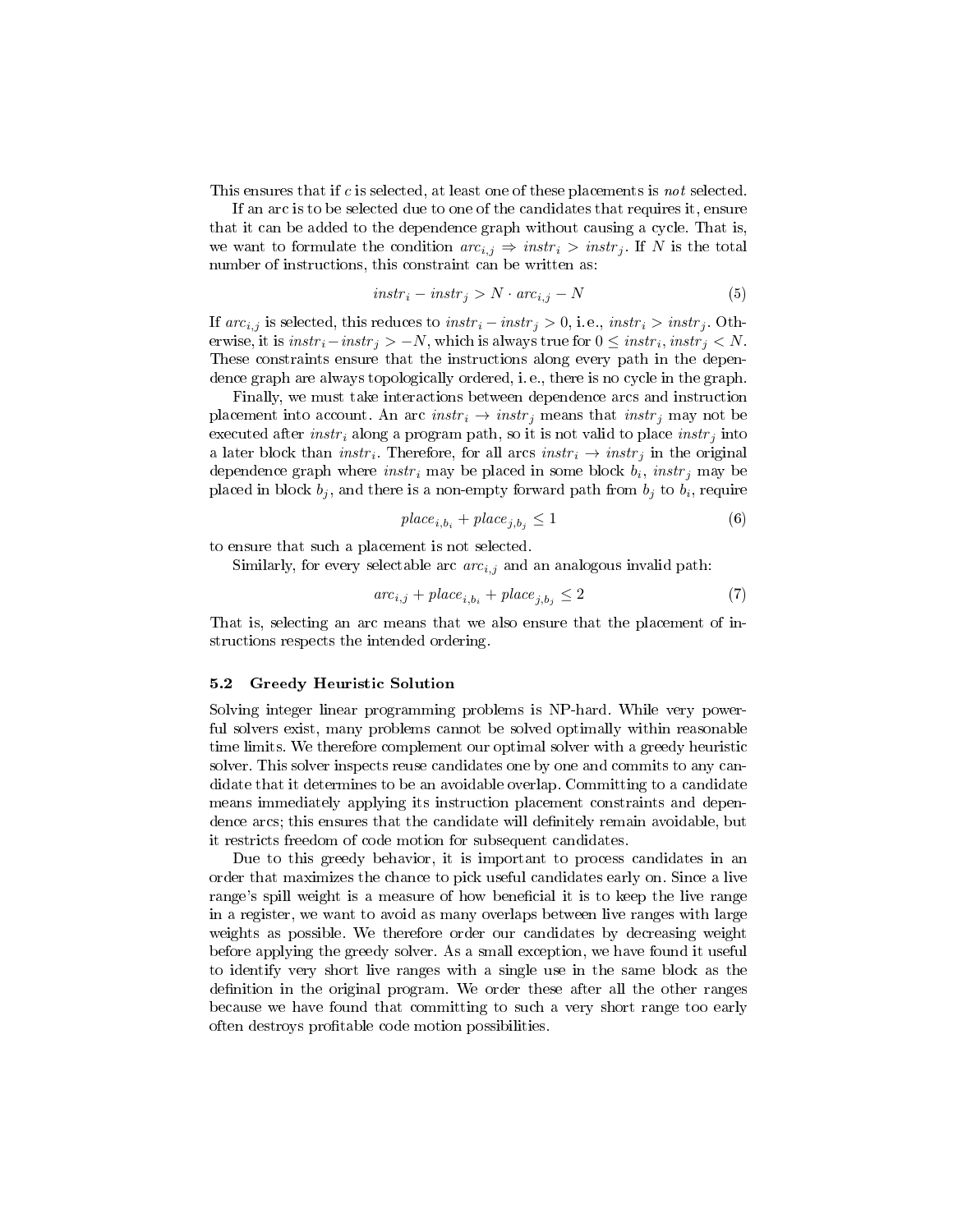This ensures that if c is selected, at least one of these placements is not selected.

If an arc is to be selected due to one of the candidates that requires it, ensure that it can be added to the dependence graph without causing a cycle. That is, we want to formulate the condition  $arc_{i,j} \Rightarrow instr_i > instr_j$ . If N is the total number of instructions, this constraint can be written as:

$$
instr_i - instr_j > N \cdot arc_{i,j} - N \tag{5}
$$

If arc<sub>i,j</sub> is selected, this reduces to  $instr_i - instr_j > 0$ , i. e.,  $instr_i > instr_j$ . Otherwise, it is  $instr_i - instr_j > -N$ , which is always true for  $0 \leq instr_i, instr_j < N$ . These constraints ensure that the instructions along every path in the dependence graph are always topologically ordered, i. e., there is no cycle in the graph.

Finally, we must take interactions between dependence arcs and instruction placement into account. An arc  $instr_i \rightarrow instr_j$  means that  $instr_j$  may not be executed after *instr<sub>i</sub>* along a program path, so it is not valid to place *instr<sub>j</sub>* into a later block than  $instr_i$ . Therefore, for all arcs  $instr_i \rightarrow instr_j$  in the original dependence graph where  $instr_i$  may be placed in some block  $b_i, \ instr_j$  may be placed in block  $b_j,$  and there is a non-empty forward path from  $b_j$  to  $b_i,$  require

$$
place_{i,b_i} + place_{j,b_j} \le 1
$$
\n<sup>(6)</sup>

to ensure that such a placement is not selected.

Similarly, for every selectable arc  $arc_{i,j}$  and an analogous invalid path:

$$
arc_{i,j} + place_{i,b_i} + place_{j,b_j} \le 2
$$
\n<sup>(7)</sup>

That is, selecting an arc means that we also ensure that the placement of instructions respects the intended ordering.

#### 5.2 Greedy Heuristic Solution

Solving integer linear programming problems is NP-hard. While very powerful solvers exist, many problems cannot be solved optimally within reasonable time limits. We therefore complement our optimal solver with a greedy heuristic solver. This solver inspects reuse candidates one by one and commits to any candidate that it determines to be an avoidable overlap. Committing to a candidate means immediately applying its instruction placement constraints and dependence arcs; this ensures that the candidate will definitely remain avoidable, but it restricts freedom of code motion for subsequent candidates.

Due to this greedy behavior, it is important to process candidates in an order that maximizes the chance to pick useful candidates early on. Since a live range's spill weight is a measure of how beneficial it is to keep the live range in a register, we want to avoid as many overlaps between live ranges with large weights as possible. We therefore order our candidates by decreasing weight before applying the greedy solver. As a small exception, we have found it useful to identify very short live ranges with a single use in the same block as the definition in the original program. We order these after all the other ranges because we have found that committing to such a very short range too early often destroys profitable code motion possibilities.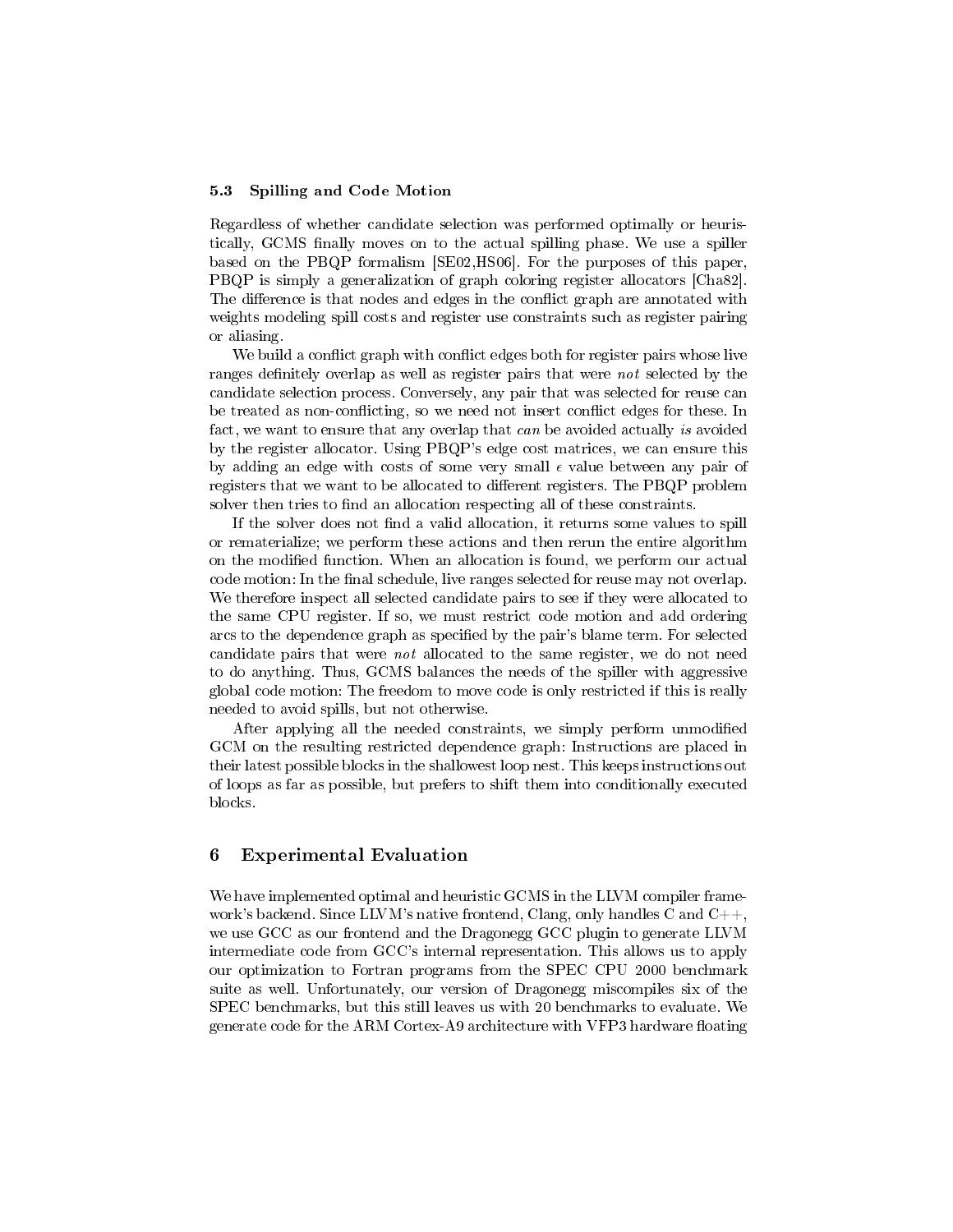#### 5.3 Spilling and Code Motion

Regardless of whether candidate selection was performed optimally or heuristically, GCMS finally moves on to the actual spilling phase. We use a spiller based on the PBQP formalism [SE02,HS06]. For the purposes of this paper, PBQP is simply a generalization of graph coloring register allocators [Cha82]. The difference is that nodes and edges in the conflict graph are annotated with weights modeling spill costs and register use constraints such as register pairing or aliasing.

We build a conflict graph with conflict edges both for register pairs whose live ranges definitely overlap as well as register pairs that were not selected by the candidate selection process. Conversely, any pair that was selected for reuse can be treated as non-conflicting, so we need not insert conflict edges for these. In fact, we want to ensure that any overlap that can be avoided actually is avoided by the register allocator. Using PBQP's edge cost matrices, we can ensure this by adding an edge with costs of some very small  $\epsilon$  value between any pair of registers that we want to be allocated to different registers. The PBQP problem solver then tries to find an allocation respecting all of these constraints.

If the solver does not find a valid allocation, it returns some values to spill or rematerialize; we perform these actions and then rerun the entire algorithm on the modified function. When an allocation is found, we perform our actual code motion: In the final schedule, live ranges selected for reuse may not overlap. We therefore inspect all selected candidate pairs to see if they were allocated to the same CPU register. If so, we must restrict code motion and add ordering arcs to the dependence graph as specified by the pair's blame term. For selected candidate pairs that were not allocated to the same register, we do not need to do anything. Thus, GCMS balances the needs of the spiller with aggressive global code motion: The freedom to move code is only restricted if this is really needed to avoid spills, but not otherwise.

After applying all the needed constraints, we simply perform unmodified GCM on the resulting restricted dependence graph: Instructions are placed in their latest possible blocks in the shallowest loop nest. This keeps instructions out of loops as far as possible, but prefers to shift them into conditionally executed blocks.

# 6 Experimental Evaluation

We have implemented optimal and heuristic GCMS in the LLVM compiler framework's backend. Since LLVM's native frontend, Clang, only handles C and  $C_{++}$ , we use GCC as our frontend and the Dragonegg GCC plugin to generate LLVM intermediate code from GCC's internal representation. This allows us to apply our optimization to Fortran programs from the SPEC CPU 2000 benchmark suite as well. Unfortunately, our version of Dragonegg miscompiles six of the SPEC benchmarks, but this still leaves us with 20 benchmarks to evaluate. We generate code for the ARM Cortex-A9 architecture with VFP3 hardware floating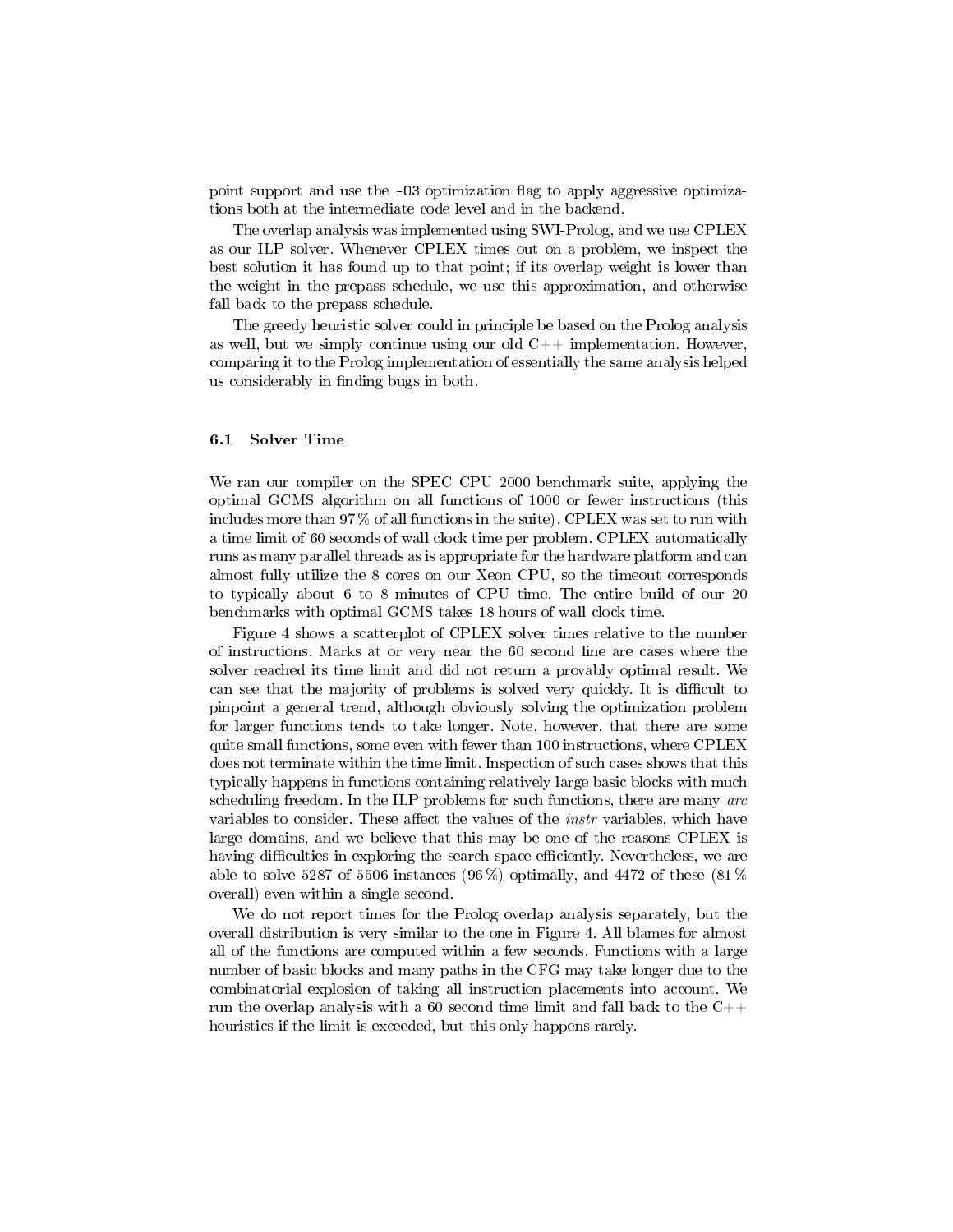point support and use the -03 optimization flag to apply aggressive optimizations both at the intermediate code level and in the backend.

The overlap analysis was implemented using SWI-Prolog, and we use CPLEX as our ILP solver. Whenever CPLEX times out on a problem, we inspect the best solution it has found up to that point; if its overlap weight is lower than the weight in the prepass schedule, we use this approximation, and otherwise fall back to the prepass schedule.

The greedy heuristic solver could in principle be based on the Prolog analysis as well, but we simply continue using our old  $C++$  implementation. However, comparing it to the Prolog implementation of essentially the same analysis helped us considerably in finding bugs in both.

#### 6.1 Solver Time

We ran our compiler on the SPEC CPU 2000 benchmark suite, applying the optimal GCMS algorithm on all functions of 1000 or fewer instructions (this includes more than 97 % of all functions in the suite). CPLEX was set to run with a time limit of 60 seconds of wall clock time per problem. CPLEX automatically runs as many parallel threads as is appropriate for the hardware platform and can almost fully utilize the 8 cores on our Xeon CPU, so the timeout corresponds to typically about 6 to 8 minutes of CPU time. The entire build of our 20 benchmarks with optimal GCMS takes 18 hours of wall clock time.

Figure 4 shows a scatterplot of CPLEX solver times relative to the number of instructions. Marks at or very near the 60 second line are cases where the solver reached its time limit and did not return a provably optimal result. We can see that the majority of problems is solved very quickly. It is difficult to pinpoint a general trend, although obviously solving the optimization problem for larger functions tends to take longer. Note, however, that there are some quite small functions, some even with fewer than 100 instructions, where CPLEX does not terminate within the time limit. Inspection of such cases shows that this typically happens in functions containing relatively large basic blocks with much scheduling freedom. In the ILP problems for such functions, there are many arc variables to consider. These affect the values of the  $instr$  variables, which have large domains, and we believe that this may be one of the reasons CPLEX is having difficulties in exploring the search space efficiently. Nevertheless, we are able to solve 5287 of 5506 instances  $(96\%)$  optimally, and 4472 of these  $(81\%$ overall) even within a single second.

We do not report times for the Prolog overlap analysis separately, but the overall distribution is very similar to the one in Figure 4. All blames for almost all of the functions are computed within a few seconds. Functions with a large number of basic blocks and many paths in the CFG may take longer due to the combinatorial explosion of taking all instruction placements into account. We run the overlap analysis with a 60 second time limit and fall back to the  $C++$ heuristics if the limit is exceeded, but this only happens rarely.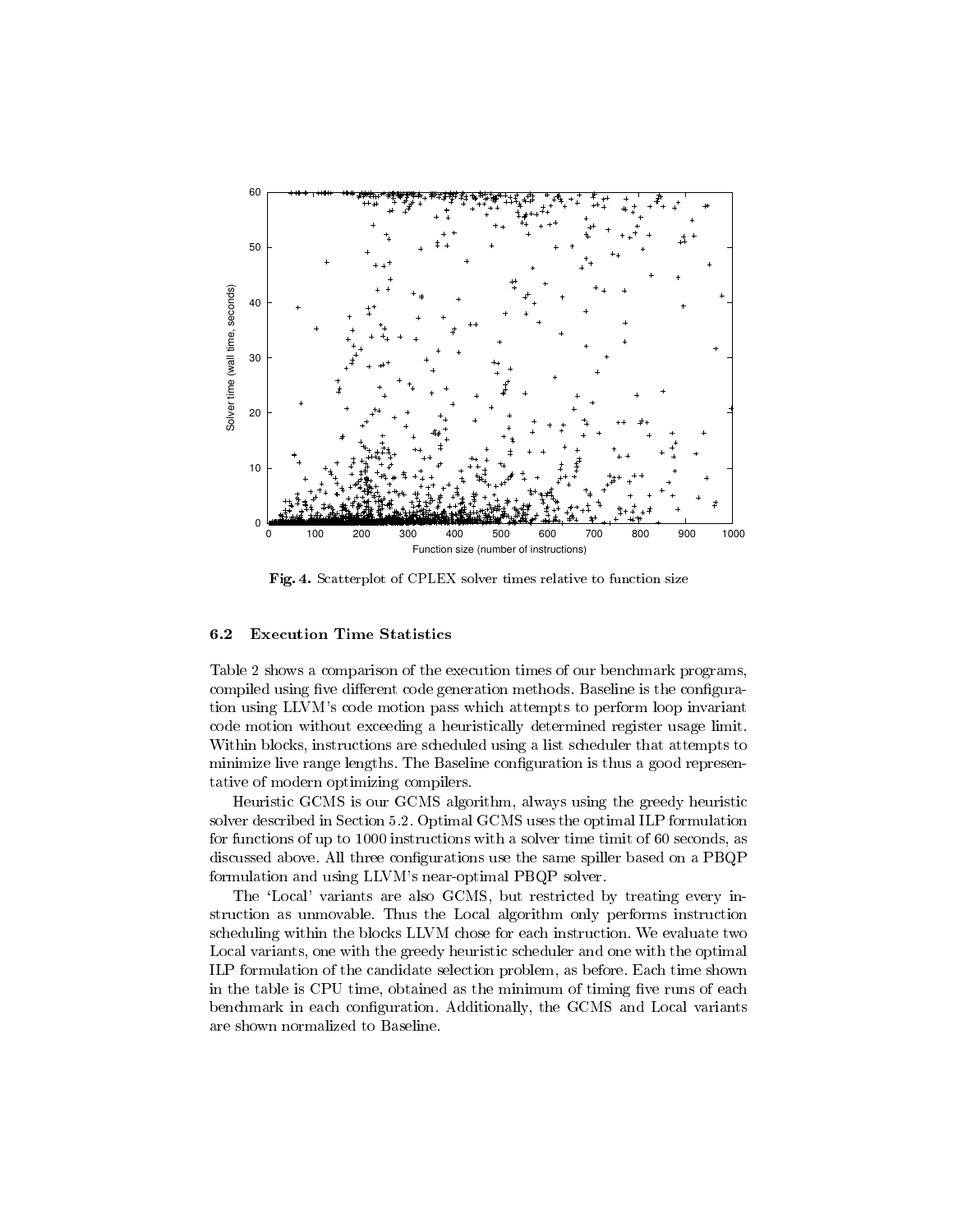

Fig. 4. Scatterplot of CPLEX solver times relative to function size

# 6.2 Execution Time Statistics

Table 2 shows a comparison of the execution times of our benchmark programs, compiled using five different code generation methods. Baseline is the configuration using LLVM's code motion pass which attempts to perform loop invariant code motion without exceeding a heuristically determined register usage limit. Within blocks, instructions are scheduled using a list scheduler that attempts to minimize live range lengths. The Baseline configuration is thus a good representative of modern optimizing compilers.

Heuristic GCMS is our GCMS algorithm, always using the greedy heuristic solver described in Section 5.2. Optimal GCMS uses the optimal ILP formulation for functions of up to 1000 instructions with a solver time timit of 60 seconds, as discussed above. All three configurations use the same spiller based on a PBQP formulation and using LLVM's near-optimal PBQP solver.

The 'Local' variants are also GCMS, but restricted by treating every instruction as unmovable. Thus the Local algorithm only performs instruction scheduling within the blocks LLVM chose for each instruction. We evaluate two Local variants, one with the greedy heuristic scheduler and one with the optimal ILP formulation of the candidate selection problem, as before. Each time shown in the table is CPU time, obtained as the minimum of timing five runs of each benchmark in each configuration. Additionally, the GCMS and Local variants are shown normalized to Baseline.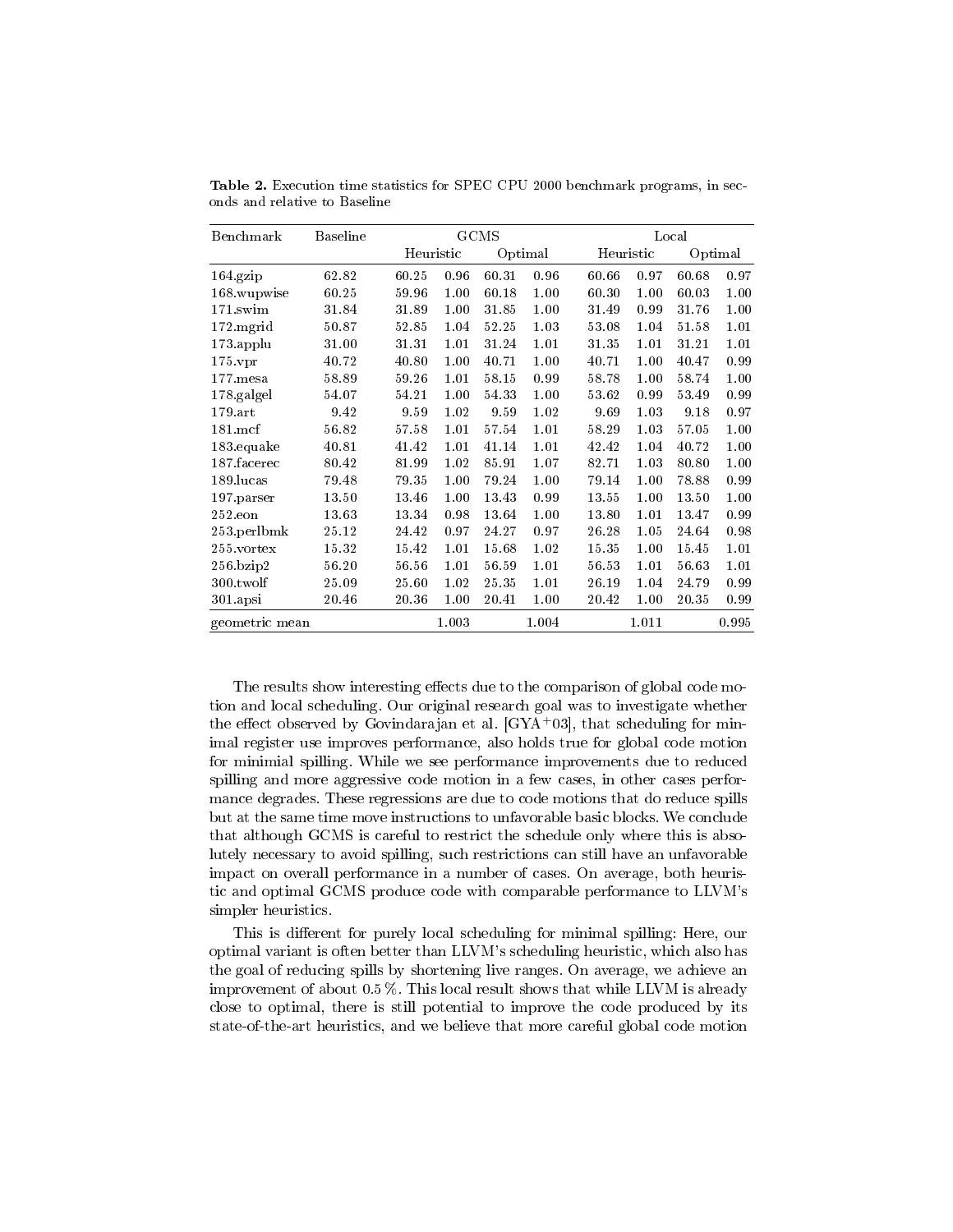| Benchmark          | <b>Baseline</b> | GCMS      |       |         |       |       | Local     |         |       |  |
|--------------------|-----------------|-----------|-------|---------|-------|-------|-----------|---------|-------|--|
|                    |                 | Heuristic |       | Optimal |       |       | Heuristic | Optimal |       |  |
| $164$ gzip         | 62.82           | 60.25     | 0.96  | 60.31   | 0.96  | 60.66 | 0.97      | 60.68   | 0.97  |  |
| 168 wupwise        | 60.25           | 59.96     | 1.00  | 60.18   | 1.00  | 60.30 | 1.00      | 60.03   | 1.00  |  |
| $171$ .swim        | 31.84           | 31.89     | 1.00  | 31.85   | 1.00  | 31.49 | 0.99      | 31.76   | 1.00  |  |
| $172$ mgrid        | 50.87           | 52.85     | 1.04  | 52.25   | 1.03  | 53.08 | 1.04      | 51.58   | 1.01  |  |
| $173$ .applu       | 31.00           | 31.31     | 1.01  | 31.24   | 1.01  | 31.35 | 1.01      | 31.21   | 1.01  |  |
| $175$ vpr          | 40.72           | 40.80     | 1.00  | 40.71   | 1.00  | 40.71 | 1.00      | 40.47   | 0.99  |  |
| $177$ . mesa       | 58.89           | 59.26     | 1.01  | 58.15   | 0.99  | 58.78 | 1.00      | 58.74   | 1.00  |  |
| 178 galgel         | 54.07           | 54.21     | 1.00  | 54.33   | 1.00  | 53.62 | 0.99      | 53.49   | 0.99  |  |
| $179.\mathrm{art}$ | 9.42            | 9.59      | 1.02  | 9.59    | 1.02  | 9.69  | 1.03      | 9.18    | 0.97  |  |
| $181$ mcf          | 56.82           | 57.58     | 1.01  | 57.54   | 1.01  | 58.29 | 1.03      | 57.05   | 1.00  |  |
| 183.equake         | 40.81           | 41.42     | 1.01  | 41.14   | 1.01  | 42.42 | 1.04      | 40.72   | 1.00  |  |
| 187 facerec        | 80.42           | 81.99     | 1.02  | 85.91   | 1.07  | 82.71 | 1.03      | 80.80   | 1.00  |  |
| 189.lucas          | 79.48           | 79.35     | 1.00  | 79.24   | 1.00  | 79.14 | 1.00      | 78.88   | 0.99  |  |
| 197 parser         | 13.50           | 13.46     | 1.00  | 13.43   | 0.99  | 13.55 | 1.00      | 13.50   | 1.00  |  |
| $252$ .eon         | 13.63           | 13.34     | 0.98  | 13.64   | 1.00  | 13.80 | 1.01      | 13.47   | 0.99  |  |
| 253 perlbmk        | 25.12           | 24.42     | 0.97  | 24.27   | 0.97  | 26.28 | 1.05      | 24.64   | 0.98  |  |
| $255$ . vortex     | 15.32           | 15.42     | 1.01  | 15.68   | 1.02  | 15.35 | 1.00      | 15.45   | 1.01  |  |
| $256$ bzip $2$     | 56.20           | 56.56     | 1.01  | 56.59   | 1.01  | 56.53 | 1.01      | 56.63   | 1.01  |  |
| 300.twolf          | 25.09           | 25.60     | 1.02  | 25.35   | 1.01  | 26.19 | 1.04      | 24.79   | 0.99  |  |
| 301 apsi           | 20.46           | 20.36     | 1.00  | 20.41   | 1.00  | 20.42 | 1.00      | 20.35   | 0.99  |  |
| geometric mean     |                 |           | 1.003 |         | 1.004 |       | 1.011     |         | 0.995 |  |

Table 2. Execution time statistics for SPEC CPU 2000 benchmark programs, in seconds and relative to Baseline

The results show interesting effects due to the comparison of global code motion and local scheduling. Our original research goal was to investigate whether the effect observed by Govindarajan et al.  $(GYA+03]$ , that scheduling for minimal register use improves performance, also holds true for global code motion for minimial spilling. While we see performance improvements due to reduced spilling and more aggressive code motion in a few cases, in other cases performance degrades. These regressions are due to code motions that do reduce spills but at the same time move instructions to unfavorable basic blocks. We conclude that although GCMS is careful to restrict the schedule only where this is absolutely necessary to avoid spilling, such restrictions can still have an unfavorable impact on overall performance in a number of cases. On average, both heuristic and optimal GCMS produce code with comparable performance to LLVM's simpler heuristics.

This is different for purely local scheduling for minimal spilling: Here, our optimal variant is often better than LLVM's scheduling heuristic, which also has the goal of reducing spills by shortening live ranges. On average, we achieve an improvement of about 0.5 %. This local result shows that while LLVM is already close to optimal, there is still potential to improve the code produced by its state-of-the-art heuristics, and we believe that more careful global code motion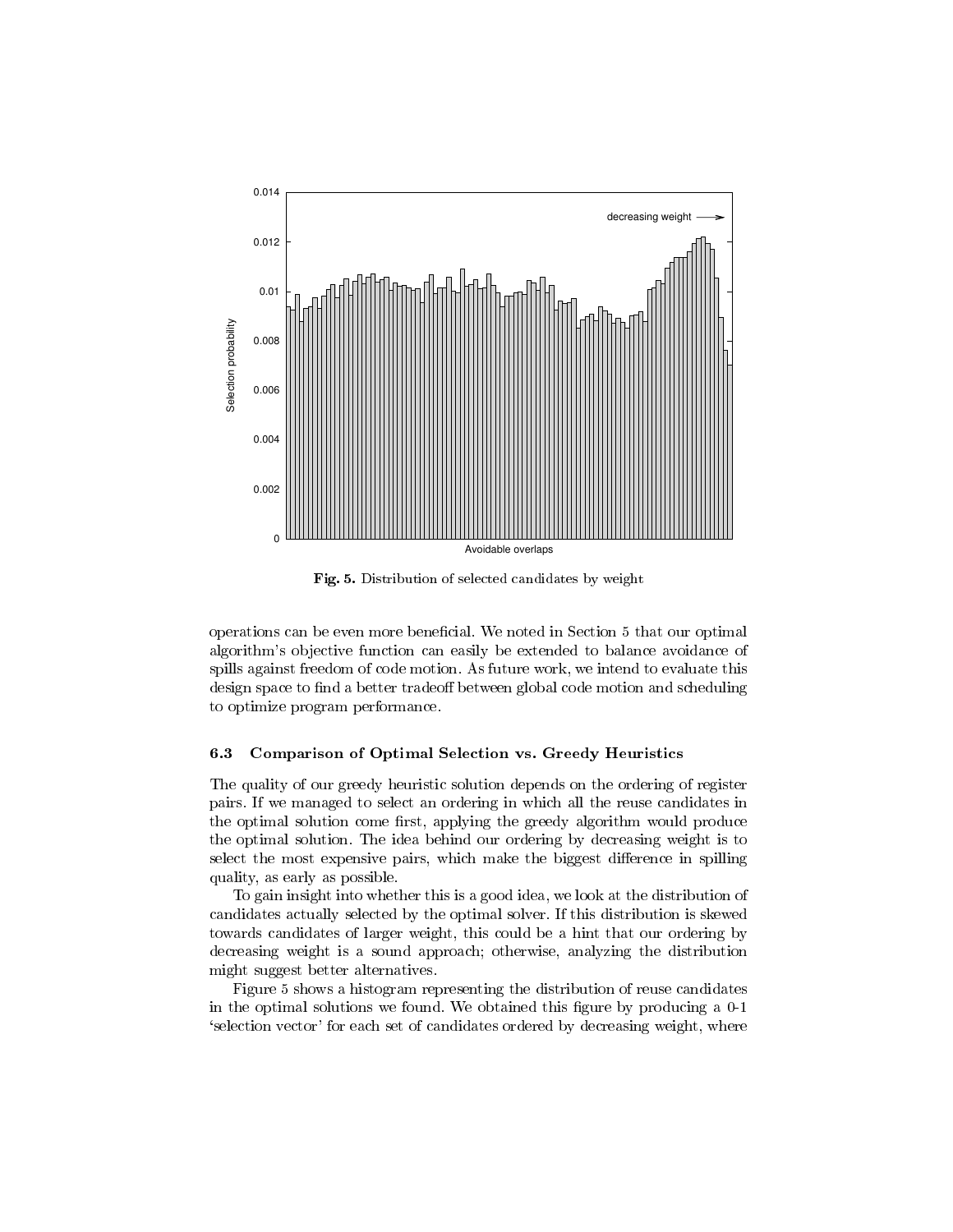

Fig. 5. Distribution of selected candidates by weight

operations can be even more beneficial. We noted in Section 5 that our optimal algorithm's objective function can easily be extended to balance avoidance of spills against freedom of code motion. As future work, we intend to evaluate this design space to find a better tradeoff between global code motion and scheduling to optimize program performance.

#### 6.3 Comparison of Optimal Selection vs. Greedy Heuristics

The quality of our greedy heuristic solution depends on the ordering of register pairs. If we managed to select an ordering in which all the reuse candidates in the optimal solution come first, applying the greedy algorithm would produce the optimal solution. The idea behind our ordering by decreasing weight is to select the most expensive pairs, which make the biggest difference in spilling quality, as early as possible.

To gain insight into whether this is a good idea, we look at the distribution of candidates actually selected by the optimal solver. If this distribution is skewed towards candidates of larger weight, this could be a hint that our ordering by decreasing weight is a sound approach; otherwise, analyzing the distribution might suggest better alternatives.

Figure 5 shows a histogram representing the distribution of reuse candidates in the optimal solutions we found. We obtained this figure by producing a 0-1 `selection vector' for each set of candidates ordered by decreasing weight, where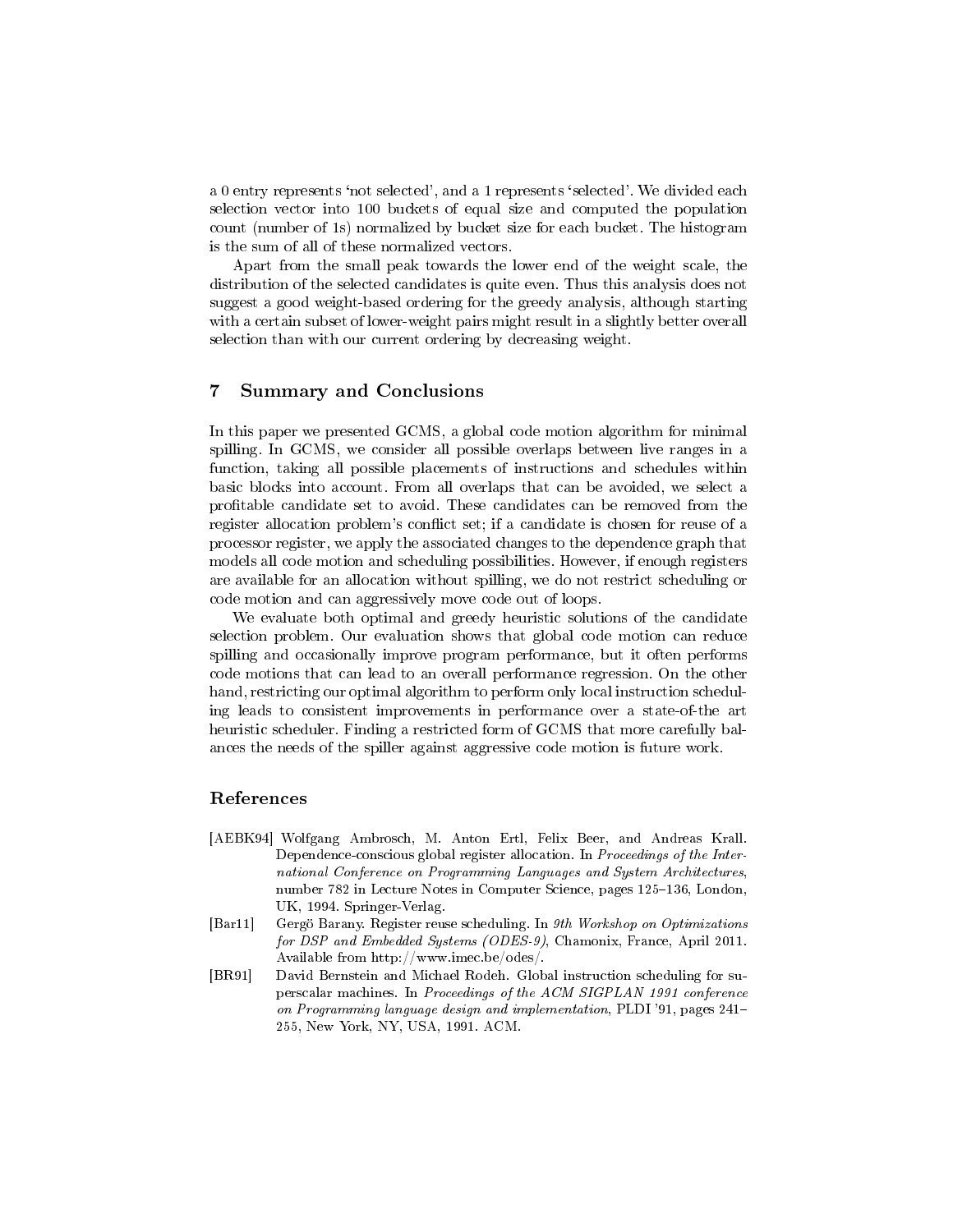a 0 entry represents `not selected', and a 1 represents `selected'. We divided each selection vector into 100 buckets of equal size and computed the population count (number of 1s) normalized by bucket size for each bucket. The histogram is the sum of all of these normalized vectors.

Apart from the small peak towards the lower end of the weight scale, the distribution of the selected candidates is quite even. Thus this analysis does not suggest a good weight-based ordering for the greedy analysis, although starting with a certain subset of lower-weight pairs might result in a slightly better overall selection than with our current ordering by decreasing weight.

# 7 Summary and Conclusions

In this paper we presented GCMS, a global code motion algorithm for minimal spilling. In GCMS, we consider all possible overlaps between live ranges in a function, taking all possible placements of instructions and schedules within basic blocks into account. From all overlaps that can be avoided, we select a profitable candidate set to avoid. These candidates can be removed from the register allocation problem's conflict set; if a candidate is chosen for reuse of a processor register, we apply the associated changes to the dependence graph that models all code motion and scheduling possibilities. However, if enough registers are available for an allocation without spilling, we do not restrict scheduling or code motion and can aggressively move code out of loops.

We evaluate both optimal and greedy heuristic solutions of the candidate selection problem. Our evaluation shows that global code motion can reduce spilling and occasionally improve program performance, but it often performs code motions that can lead to an overall performance regression. On the other hand, restricting our optimal algorithm to perform only local instruction scheduling leads to consistent improvements in performance over a state-of-the art heuristic scheduler. Finding a restricted form of GCMS that more carefully balances the needs of the spiller against aggressive code motion is future work.

# References

- [AEBK94] Wolfgang Ambrosch, M. Anton Ertl, Felix Beer, and Andreas Krall. Dependence-conscious global register allocation. In Proceedings of the International Conference on Programming Languages and System Architectures, number 782 in Lecture Notes in Computer Science, pages 125-136, London, UK, 1994. Springer-Verlag.
- [Bar11] Gergö Barany. Register reuse scheduling. In 9th Workshop on Optimizations for DSP and Embedded Systems (ODES-9), Chamonix, France, April 2011. Available from http://www.imec.be/odes/.
- [BR91] David Bernstein and Michael Rodeh. Global instruction scheduling for superscalar machines. In Proceedings of the ACM SIGPLAN 1991 conference on Programming language design and implementation, PLDI '91, pages 241 255, New York, NY, USA, 1991. ACM.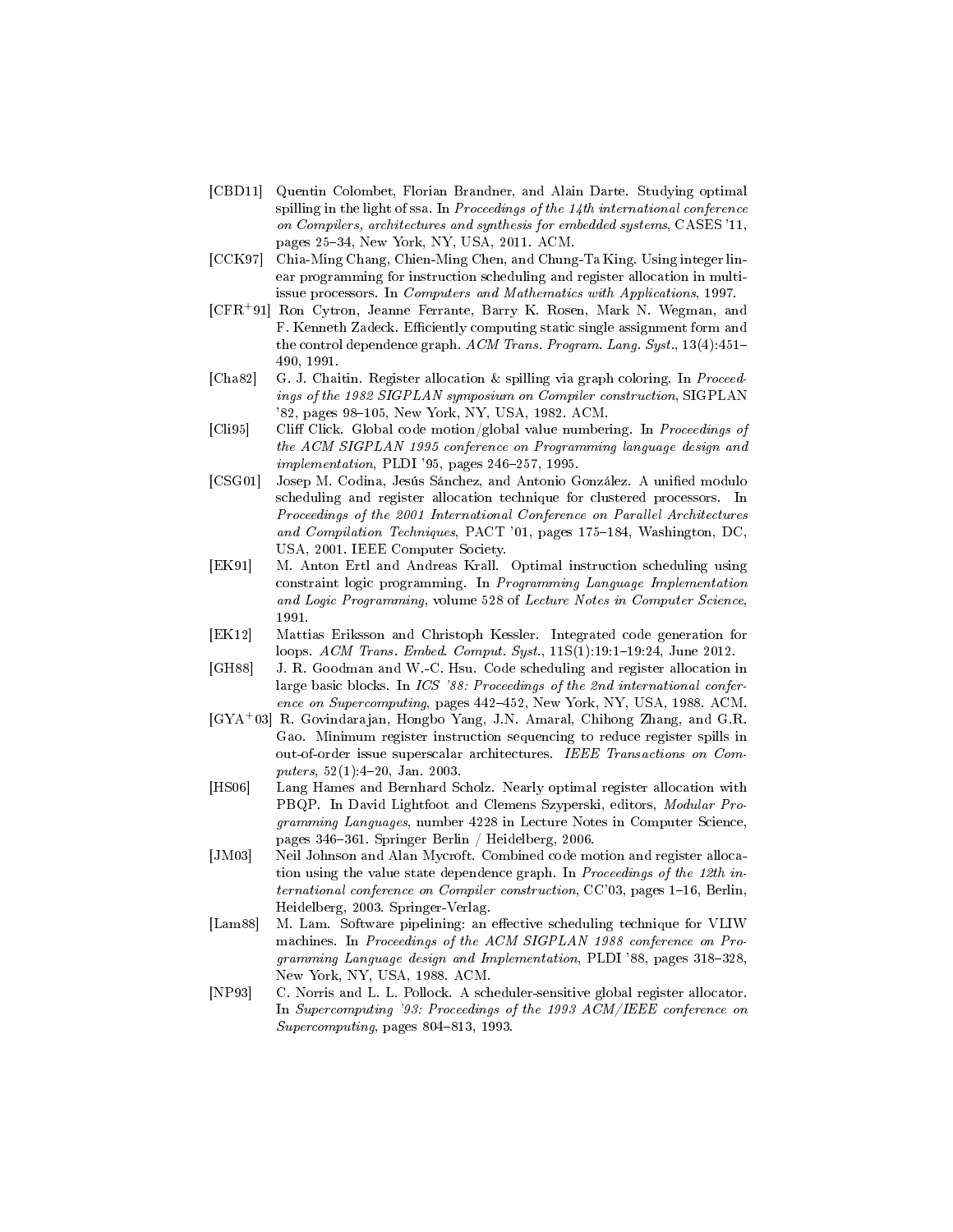- [CBD11] Quentin Colombet, Florian Brandner, and Alain Darte. Studying optimal spilling in the light of ssa. In Proceedings of the 14th international conference on Compilers, architectures and synthesis for embedded systems, CASES '11, pages 25-34, New York, NY, USA, 2011. ACM.
- [CCK97] Chia-Ming Chang, Chien-Ming Chen, and Chung-Ta King. Using integer linear programming for instruction scheduling and register allocation in multiissue processors. In Computers and Mathematics with Applications, 1997.
- [CFR<sup>+</sup>91] Ron Cytron, Jeanne Ferrante, Barry K. Rosen, Mark N. Wegman, and F. Kenneth Zadeck. Efficiently computing static single assignment form and the control dependence graph.  $ACM$  Trans. Program. Lang. Syst.,  $13(4):451-$ 490, 1991.
- [Cha82] G. J. Chaitin. Register allocation & spilling via graph coloring. In Proceedings of the 1982 SIGPLAN symposium on Compiler construction, SIGPLAN '82, pages 98-105, New York, NY, USA, 1982. ACM.
- [Cli95] Cliff Click. Global code motion/global value numbering. In Proceedings of the ACM SIGPLAN 1995 conference on Programming language design and  $implementation, PLDI$  '95, pages 246-257, 1995.
- [CSG01] Josep M. Codina, Jesús Sánchez, and Antonio González. A unied modulo scheduling and register allocation technique for clustered processors. In Proceedings of the 2001 International Conference on Parallel Architectures and Compilation Techniques, PACT '01, pages 175-184, Washington, DC, USA, 2001. IEEE Computer Society.
- [EK91] M. Anton Ertl and Andreas Krall. Optimal instruction scheduling using constraint logic programming. In Programming Language Implementation and Logic Programming, volume 528 of Lecture Notes in Computer Science, 1991.
- [EK12] Mattias Eriksson and Christoph Kessler. Integrated code generation for loops.  $ACM$  Trans. Embed. Comput. Syst.,  $11S(1):19:1-19:24$ , June 2012.
- [GH88] J. R. Goodman and W.-C. Hsu. Code scheduling and register allocation in large basic blocks. In ICS '88: Proceedings of the 2nd international conference on Supercomputing, pages 442-452, New York, NY, USA, 1988. ACM.
- [GYA<sup>+</sup>03] R. Govindarajan, Hongbo Yang, J.N. Amaral, Chihong Zhang, and G.R. Gao. Minimum register instruction sequencing to reduce register spills in out-of-order issue superscalar architectures. IEEE Transactions on Computers,  $52(1):4-20$ , Jan. 2003.
- [HS06] Lang Hames and Bernhard Scholz. Nearly optimal register allocation with PBQP. In David Lightfoot and Clemens Szyperski, editors, Modular Programming Languages, number 4228 in Lecture Notes in Computer Science, pages 346-361. Springer Berlin / Heidelberg, 2006.
- [JM03] Neil Johnson and Alan Mycroft. Combined code motion and register allocation using the value state dependence graph. In Proceedings of the 12th international conference on Compiler construction,  $CC'03$ , pages 1-16, Berlin, Heidelberg, 2003. Springer-Verlag.
- [Lam88] M. Lam. Software pipelining: an effective scheduling technique for VLIW machines. In Proceedings of the ACM SIGPLAN 1988 conference on Programming Language design and Implementation, PLDI '88, pages 318-328, New York, NY, USA, 1988. ACM.
- [NP93] C. Norris and L. L. Pollock. A scheduler-sensitive global register allocator. In Supercomputing '93: Proceedings of the 1993 ACM/IEEE conference on  $Supercomputing$ , pages 804-813, 1993.